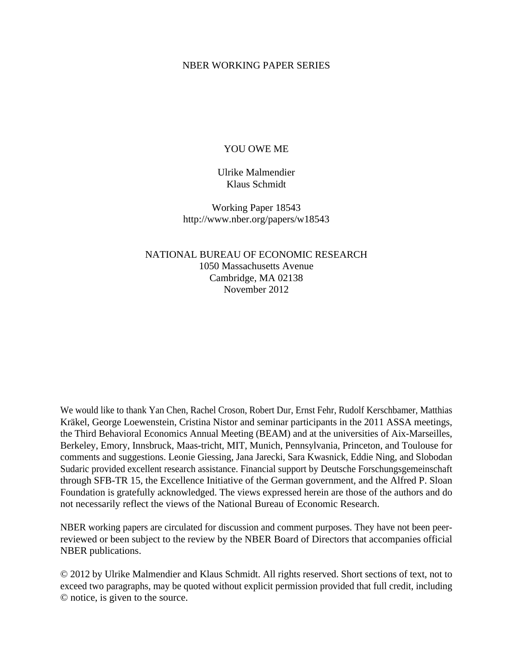#### NBER WORKING PAPER SERIES

#### YOU OWE ME

Ulrike Malmendier Klaus Schmidt

Working Paper 18543 http://www.nber.org/papers/w18543

NATIONAL BUREAU OF ECONOMIC RESEARCH 1050 Massachusetts Avenue Cambridge, MA 02138 November 2012

We would like to thank Yan Chen, Rachel Croson, Robert Dur, Ernst Fehr, Rudolf Kerschbamer, Matthias Kräkel, George Loewenstein, Cristina Nistor and seminar participants in the 2011 ASSA meetings, the Third Behavioral Economics Annual Meeting (BEAM) and at the universities of Aix-Marseilles, Berkeley, Emory, Innsbruck, Maas-tricht, MIT, Munich, Pennsylvania, Princeton, and Toulouse for comments and suggestions. Leonie Giessing, Jana Jarecki, Sara Kwasnick, Eddie Ning, and Slobodan Sudaric provided excellent research assistance. Financial support by Deutsche Forschungsgemeinschaft through SFB-TR 15, the Excellence Initiative of the German government, and the Alfred P. Sloan Foundation is gratefully acknowledged. The views expressed herein are those of the authors and do not necessarily reflect the views of the National Bureau of Economic Research.

NBER working papers are circulated for discussion and comment purposes. They have not been peerreviewed or been subject to the review by the NBER Board of Directors that accompanies official NBER publications.

© 2012 by Ulrike Malmendier and Klaus Schmidt. All rights reserved. Short sections of text, not to exceed two paragraphs, may be quoted without explicit permission provided that full credit, including © notice, is given to the source.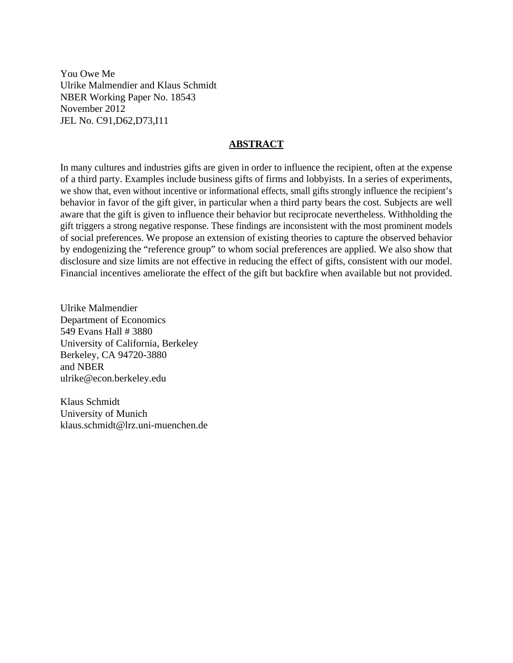You Owe Me Ulrike Malmendier and Klaus Schmidt NBER Working Paper No. 18543 November 2012 JEL No. C91,D62,D73,I11

#### **ABSTRACT**

In many cultures and industries gifts are given in order to influence the recipient, often at the expense of a third party. Examples include business gifts of firms and lobbyists. In a series of experiments, we show that, even without incentive or informational effects, small gifts strongly influence the recipient's behavior in favor of the gift giver, in particular when a third party bears the cost. Subjects are well aware that the gift is given to influence their behavior but reciprocate nevertheless. Withholding the gift triggers a strong negative response. These findings are inconsistent with the most prominent models of social preferences. We propose an extension of existing theories to capture the observed behavior by endogenizing the "reference group" to whom social preferences are applied. We also show that disclosure and size limits are not effective in reducing the effect of gifts, consistent with our model. Financial incentives ameliorate the effect of the gift but backfire when available but not provided.

Ulrike Malmendier Department of Economics 549 Evans Hall # 3880 University of California, Berkeley Berkeley, CA 94720-3880 and NBER ulrike@econ.berkeley.edu

Klaus Schmidt University of Munich klaus.schmidt@lrz.uni-muenchen.de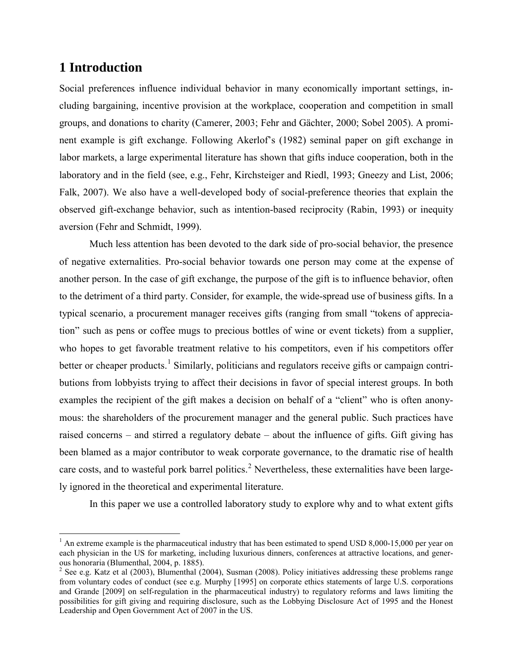# **1 Introduction**

 $\overline{a}$ 

Social preferences influence individual behavior in many economically important settings, including bargaining, incentive provision at the workplace, cooperation and competition in small groups, and donations to charity (Camerer, 2003; Fehr and Gächter, 2000; Sobel 2005). A prominent example is gift exchange. Following Akerlof's (1982) seminal paper on gift exchange in labor markets, a large experimental literature has shown that gifts induce cooperation, both in the laboratory and in the field (see, e.g., Fehr, Kirchsteiger and Riedl, 1993; Gneezy and List, 2006; Falk, 2007). We also have a well-developed body of social-preference theories that explain the observed gift-exchange behavior, such as intention-based reciprocity (Rabin, 1993) or inequity aversion (Fehr and Schmidt, 1999).

Much less attention has been devoted to the dark side of pro-social behavior, the presence of negative externalities. Pro-social behavior towards one person may come at the expense of another person. In the case of gift exchange, the purpose of the gift is to influence behavior, often to the detriment of a third party. Consider, for example, the wide-spread use of business gifts. In a typical scenario, a procurement manager receives gifts (ranging from small "tokens of appreciation" such as pens or coffee mugs to precious bottles of wine or event tickets) from a supplier, who hopes to get favorable treatment relative to his competitors, even if his competitors offer better or cheaper products.<sup>[1](#page-2-0)</sup> Similarly, politicians and regulators receive gifts or campaign contributions from lobbyists trying to affect their decisions in favor of special interest groups. In both examples the recipient of the gift makes a decision on behalf of a "client" who is often anonymous: the shareholders of the procurement manager and the general public. Such practices have raised concerns – and stirred a regulatory debate – about the influence of gifts. Gift giving has been blamed as a major contributor to weak corporate governance, to the dramatic rise of health care costs, and to wasteful pork barrel politics.<sup>[2](#page-2-1)</sup> Nevertheless, these externalities have been largely ignored in the theoretical and experimental literature.

In this paper we use a controlled laboratory study to explore why and to what extent gifts

<span id="page-2-0"></span><sup>&</sup>lt;sup>1</sup> An extreme example is the pharmaceutical industry that has been estimated to spend USD 8,000-15,000 per year on each physician in the US for marketing, including luxurious dinners, conferences at attractive locations, and gener-<br>ous honoraria (Blumenthal, 2004, p. 1885).

<span id="page-2-1"></span><sup>&</sup>lt;sup>2</sup> See e.g. Katz et al (2003), Blumenthal (2004), Susman (2008). Policy initiatives addressing these problems range from voluntary codes of conduct (see e.g. Murphy [1995] on corporate ethics statements of large U.S. corporations and Grande [2009] on self-regulation in the pharmaceutical industry) to regulatory reforms and laws limiting the possibilities for gift giving and requiring disclosure, such as the Lobbying Disclosure Act of 1995 and the Honest Leadership and Open Government Act of 2007 in the US.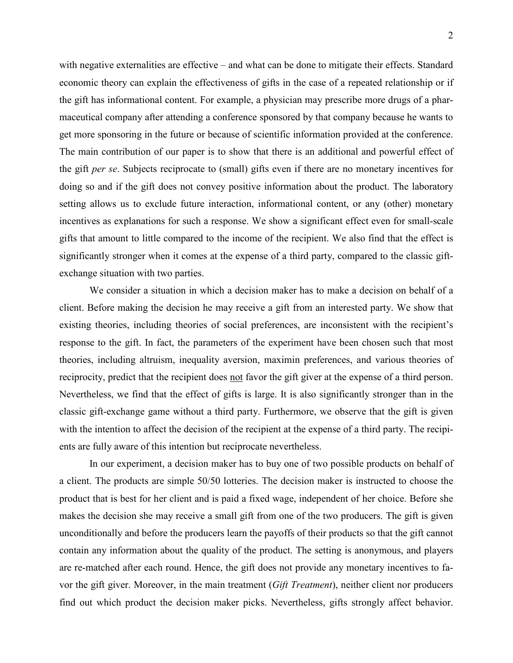with negative externalities are effective – and what can be done to mitigate their effects. Standard economic theory can explain the effectiveness of gifts in the case of a repeated relationship or if the gift has informational content. For example, a physician may prescribe more drugs of a pharmaceutical company after attending a conference sponsored by that company because he wants to get more sponsoring in the future or because of scientific information provided at the conference. The main contribution of our paper is to show that there is an additional and powerful effect of the gift *per se*. Subjects reciprocate to (small) gifts even if there are no monetary incentives for doing so and if the gift does not convey positive information about the product. The laboratory setting allows us to exclude future interaction, informational content, or any (other) monetary incentives as explanations for such a response. We show a significant effect even for small-scale gifts that amount to little compared to the income of the recipient. We also find that the effect is significantly stronger when it comes at the expense of a third party, compared to the classic giftexchange situation with two parties.

We consider a situation in which a decision maker has to make a decision on behalf of a client. Before making the decision he may receive a gift from an interested party. We show that existing theories, including theories of social preferences, are inconsistent with the recipient's response to the gift. In fact, the parameters of the experiment have been chosen such that most theories, including altruism, inequality aversion, maximin preferences, and various theories of reciprocity, predict that the recipient does not favor the gift giver at the expense of a third person. Nevertheless, we find that the effect of gifts is large. It is also significantly stronger than in the classic gift-exchange game without a third party. Furthermore, we observe that the gift is given with the intention to affect the decision of the recipient at the expense of a third party. The recipients are fully aware of this intention but reciprocate nevertheless.

In our experiment, a decision maker has to buy one of two possible products on behalf of a client. The products are simple 50/50 lotteries. The decision maker is instructed to choose the product that is best for her client and is paid a fixed wage, independent of her choice. Before she makes the decision she may receive a small gift from one of the two producers. The gift is given unconditionally and before the producers learn the payoffs of their products so that the gift cannot contain any information about the quality of the product. The setting is anonymous, and players are re-matched after each round. Hence, the gift does not provide any monetary incentives to favor the gift giver. Moreover, in the main treatment (*Gift Treatment*), neither client nor producers find out which product the decision maker picks. Nevertheless, gifts strongly affect behavior.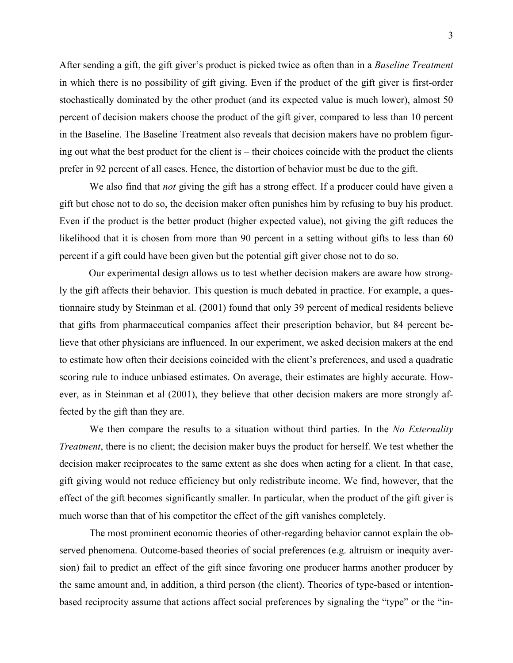After sending a gift, the gift giver's product is picked twice as often than in a *Baseline Treatment* in which there is no possibility of gift giving. Even if the product of the gift giver is first-order stochastically dominated by the other product (and its expected value is much lower), almost 50 percent of decision makers choose the product of the gift giver, compared to less than 10 percent in the Baseline. The Baseline Treatment also reveals that decision makers have no problem figuring out what the best product for the client is – their choices coincide with the product the clients prefer in 92 percent of all cases. Hence, the distortion of behavior must be due to the gift.

We also find that *not* giving the gift has a strong effect. If a producer could have given a gift but chose not to do so, the decision maker often punishes him by refusing to buy his product. Even if the product is the better product (higher expected value), not giving the gift reduces the likelihood that it is chosen from more than 90 percent in a setting without gifts to less than 60 percent if a gift could have been given but the potential gift giver chose not to do so.

Our experimental design allows us to test whether decision makers are aware how strongly the gift affects their behavior. This question is much debated in practice. For example, a questionnaire study by Steinman et al. (2001) found that only 39 percent of medical residents believe that gifts from pharmaceutical companies affect their prescription behavior, but 84 percent believe that other physicians are influenced. In our experiment, we asked decision makers at the end to estimate how often their decisions coincided with the client's preferences, and used a quadratic scoring rule to induce unbiased estimates. On average, their estimates are highly accurate. However, as in Steinman et al (2001), they believe that other decision makers are more strongly affected by the gift than they are.

We then compare the results to a situation without third parties. In the *No Externality Treatment*, there is no client; the decision maker buys the product for herself. We test whether the decision maker reciprocates to the same extent as she does when acting for a client. In that case, gift giving would not reduce efficiency but only redistribute income. We find, however, that the effect of the gift becomes significantly smaller. In particular, when the product of the gift giver is much worse than that of his competitor the effect of the gift vanishes completely.

The most prominent economic theories of other-regarding behavior cannot explain the observed phenomena. Outcome-based theories of social preferences (e.g. altruism or inequity aversion) fail to predict an effect of the gift since favoring one producer harms another producer by the same amount and, in addition, a third person (the client). Theories of type-based or intentionbased reciprocity assume that actions affect social preferences by signaling the "type" or the "in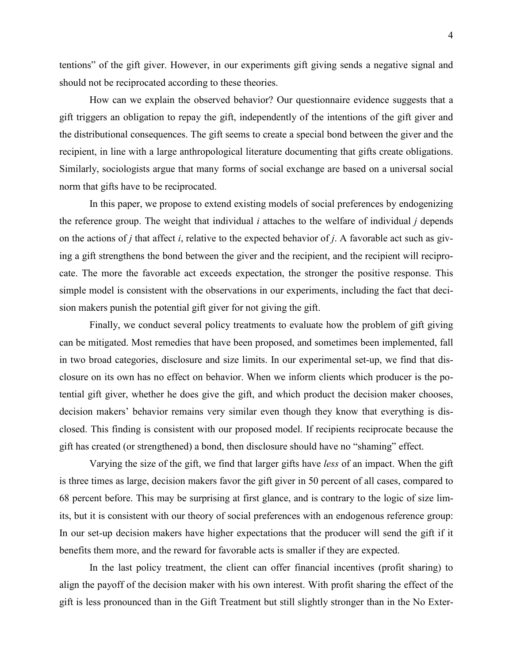tentions" of the gift giver. However, in our experiments gift giving sends a negative signal and should not be reciprocated according to these theories.

How can we explain the observed behavior? Our questionnaire evidence suggests that a gift triggers an obligation to repay the gift, independently of the intentions of the gift giver and the distributional consequences. The gift seems to create a special bond between the giver and the recipient, in line with a large anthropological literature documenting that gifts create obligations. Similarly, sociologists argue that many forms of social exchange are based on a universal social norm that gifts have to be reciprocated.

In this paper, we propose to extend existing models of social preferences by endogenizing the reference group. The weight that individual *i* attaches to the welfare of individual *j* depends on the actions of *j* that affect *i*, relative to the expected behavior of *j*. A favorable act such as giving a gift strengthens the bond between the giver and the recipient, and the recipient will reciprocate. The more the favorable act exceeds expectation, the stronger the positive response. This simple model is consistent with the observations in our experiments, including the fact that decision makers punish the potential gift giver for not giving the gift.

Finally, we conduct several policy treatments to evaluate how the problem of gift giving can be mitigated. Most remedies that have been proposed, and sometimes been implemented, fall in two broad categories, disclosure and size limits. In our experimental set-up, we find that disclosure on its own has no effect on behavior. When we inform clients which producer is the potential gift giver, whether he does give the gift, and which product the decision maker chooses, decision makers' behavior remains very similar even though they know that everything is disclosed. This finding is consistent with our proposed model. If recipients reciprocate because the gift has created (or strengthened) a bond, then disclosure should have no "shaming" effect.

Varying the size of the gift, we find that larger gifts have *less* of an impact. When the gift is three times as large, decision makers favor the gift giver in 50 percent of all cases, compared to 68 percent before. This may be surprising at first glance, and is contrary to the logic of size limits, but it is consistent with our theory of social preferences with an endogenous reference group: In our set-up decision makers have higher expectations that the producer will send the gift if it benefits them more, and the reward for favorable acts is smaller if they are expected.

In the last policy treatment, the client can offer financial incentives (profit sharing) to align the payoff of the decision maker with his own interest. With profit sharing the effect of the gift is less pronounced than in the Gift Treatment but still slightly stronger than in the No Exter-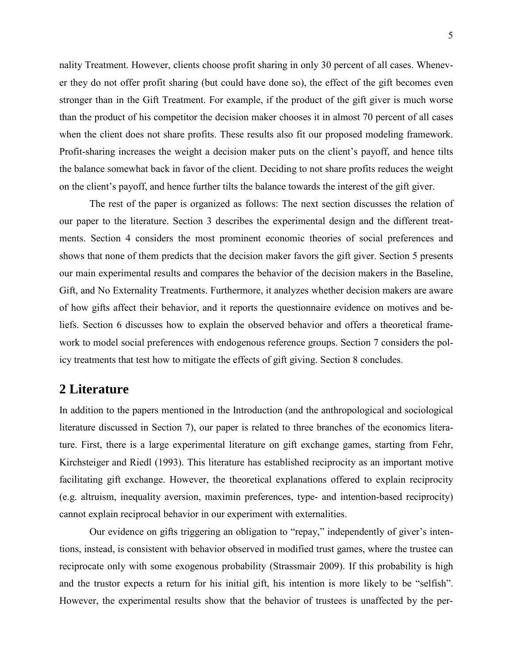nality Treatment. However, clients choose profit sharing in only 30 percent of all cases. Whenever they do not offer profit sharing (but could have done so), the effect of the gift becomes even stronger than in the Gift Treatment. For example, if the product of the gift giver is much worse than the product of his competitor the decision maker chooses it in almost 70 percent of all cases when the client does not share profits. These results also fit our proposed modeling framework. Profit-sharing increases the weight a decision maker puts on the client's payoff, and hence tilts the balance somewhat back in favor of the client. Deciding to not share profits reduces the weight on the client's payoff, and hence further tilts the balance towards the interest of the gift giver.

The rest of the paper is organized as follows: The next section discusses the relation of our paper to the literature. Section 3 describes the experimental design and the different treatments. Section 4 considers the most prominent economic theories of social preferences and shows that none of them predicts that the decision maker favors the gift giver. Section 5 presents our main experimental results and compares the behavior of the decision makers in the Baseline, Gift, and No Externality Treatments. Furthermore, it analyzes whether decision makers are aware of how gifts affect their behavior, and it reports the questionnaire evidence on motives and beliefs. Section 6 discusses how to explain the observed behavior and offers a theoretical framework to model social preferences with endogenous reference groups. Section 7 considers the policy treatments that test how to mitigate the effects of gift giving. Section 8 concludes.

## **2 Literature**

In addition to the papers mentioned in the Introduction (and the anthropological and sociological literature discussed in Section 7), our paper is related to three branches of the economics literature. First, there is a large experimental literature on gift exchange games, starting from Fehr, Kirchsteiger and Riedl (1993). This literature has established reciprocity as an important motive facilitating gift exchange. However, the theoretical explanations offered to explain reciprocity (e.g. altruism, inequality aversion, maximin preferences, type- and intention-based reciprocity) cannot explain reciprocal behavior in our experiment with externalities.

Our evidence on gifts triggering an obligation to "repay," independently of giver's intentions, instead, is consistent with behavior observed in modified trust games, where the trustee can reciprocate only with some exogenous probability (Strassmair 2009). If this probability is high and the trustor expects a return for his initial gift, his intention is more likely to be "selfish". However, the experimental results show that the behavior of trustees is unaffected by the per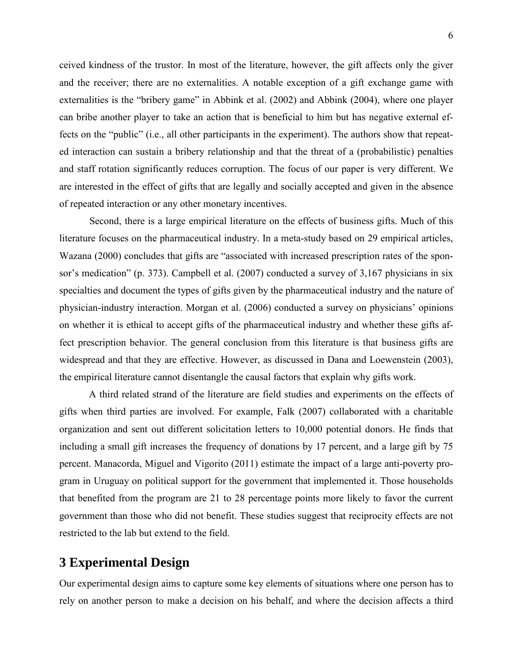ceived kindness of the trustor. In most of the literature, however, the gift affects only the giver and the receiver; there are no externalities. A notable exception of a gift exchange game with externalities is the "bribery game" in Abbink et al. (2002) and Abbink (2004), where one player can bribe another player to take an action that is beneficial to him but has negative external effects on the "public" (i.e., all other participants in the experiment). The authors show that repeated interaction can sustain a bribery relationship and that the threat of a (probabilistic) penalties and staff rotation significantly reduces corruption. The focus of our paper is very different. We are interested in the effect of gifts that are legally and socially accepted and given in the absence of repeated interaction or any other monetary incentives.

Second, there is a large empirical literature on the effects of business gifts. Much of this literature focuses on the pharmaceutical industry. In a meta-study based on 29 empirical articles, Wazana (2000) concludes that gifts are "associated with increased prescription rates of the sponsor's medication" (p. 373). Campbell et al. (2007) conducted a survey of 3,167 physicians in six specialties and document the types of gifts given by the pharmaceutical industry and the nature of physician-industry interaction. Morgan et al. (2006) conducted a survey on physicians' opinions on whether it is ethical to accept gifts of the pharmaceutical industry and whether these gifts affect prescription behavior. The general conclusion from this literature is that business gifts are widespread and that they are effective. However, as discussed in Dana and Loewenstein (2003), the empirical literature cannot disentangle the causal factors that explain why gifts work.

A third related strand of the literature are field studies and experiments on the effects of gifts when third parties are involved. For example, Falk (2007) collaborated with a charitable organization and sent out different solicitation letters to 10,000 potential donors. He finds that including a small gift increases the frequency of donations by 17 percent, and a large gift by 75 percent. Manacorda, Miguel and Vigorito (2011) estimate the impact of a large anti-poverty program in Uruguay on political support for the government that implemented it. Those households that benefited from the program are 21 to 28 percentage points more likely to favor the current government than those who did not benefit. These studies suggest that reciprocity effects are not restricted to the lab but extend to the field.

# **3 Experimental Design**

Our experimental design aims to capture some key elements of situations where one person has to rely on another person to make a decision on his behalf, and where the decision affects a third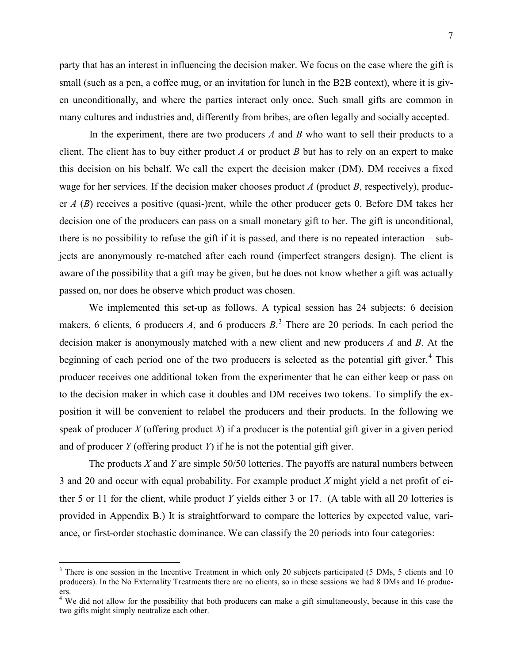party that has an interest in influencing the decision maker. We focus on the case where the gift is small (such as a pen, a coffee mug, or an invitation for lunch in the B2B context), where it is given unconditionally, and where the parties interact only once. Such small gifts are common in many cultures and industries and, differently from bribes, are often legally and socially accepted.

In the experiment, there are two producers *A* and *B* who want to sell their products to a client. The client has to buy either product *A* or product *B* but has to rely on an expert to make this decision on his behalf. We call the expert the decision maker (DM). DM receives a fixed wage for her services. If the decision maker chooses product *A* (product *B*, respectively), producer *A* (*B*) receives a positive (quasi-)rent, while the other producer gets 0. Before DM takes her decision one of the producers can pass on a small monetary gift to her. The gift is unconditional, there is no possibility to refuse the gift if it is passed, and there is no repeated interaction – subjects are anonymously re-matched after each round (imperfect strangers design). The client is aware of the possibility that a gift may be given, but he does not know whether a gift was actually passed on, nor does he observe which product was chosen.

We implemented this set-up as follows. A typical session has 24 subjects: 6 decision makers, 6 clients, 6 producers *A*, and 6 producers *B*.<sup>[3](#page-8-0)</sup> There are 20 periods. In each period the decision maker is anonymously matched with a new client and new producers *A* and *B*. At the beginning of each period one of the two producers is selected as the potential gift giver.<sup>[4](#page-8-1)</sup> This producer receives one additional token from the experimenter that he can either keep or pass on to the decision maker in which case it doubles and DM receives two tokens. To simplify the exposition it will be convenient to relabel the producers and their products. In the following we speak of producer  $X$  (offering product  $X$ ) if a producer is the potential gift giver in a given period and of producer *Y* (offering product *Y*) if he is not the potential gift giver.

The products *X* and *Y* are simple 50/50 lotteries. The payoffs are natural numbers between 3 and 20 and occur with equal probability. For example product *X* might yield a net profit of either 5 or 11 for the client, while product *Y* yields either 3 or 17. (A table with all 20 lotteries is provided in Appendix B.) It is straightforward to compare the lotteries by expected value, variance, or first-order stochastic dominance. We can classify the 20 periods into four categories:

 $\overline{a}$ 

<span id="page-8-0"></span><sup>&</sup>lt;sup>3</sup> There is one session in the Incentive Treatment in which only 20 subjects participated (5 DMs, 5 clients and 10 producers). In the No Externality Treatments there are no clients, so in these sessions we had 8 DMs and 16 producers.

<span id="page-8-1"></span> $4$  We did not allow for the possibility that both producers can make a gift simultaneously, because in this case the two gifts might simply neutralize each other.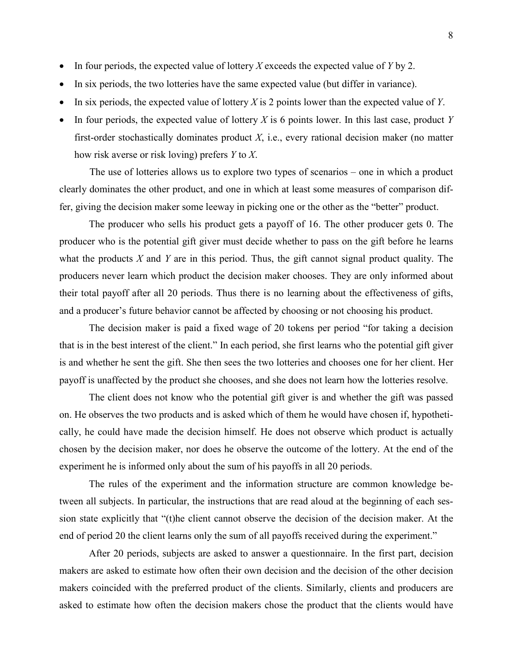- In four periods, the expected value of lottery *X* exceeds the expected value of *Y* by 2.
- In six periods, the two lotteries have the same expected value (but differ in variance).
- In six periods, the expected value of lottery *X* is 2 points lower than the expected value of *Y*.
- In four periods, the expected value of lottery *X* is 6 points lower. In this last case, product *Y* first-order stochastically dominates product *X*, i.e., every rational decision maker (no matter how risk averse or risk loving) prefers *Y* to *X*.

The use of lotteries allows us to explore two types of scenarios – one in which a product clearly dominates the other product, and one in which at least some measures of comparison differ, giving the decision maker some leeway in picking one or the other as the "better" product.

The producer who sells his product gets a payoff of 16. The other producer gets 0. The producer who is the potential gift giver must decide whether to pass on the gift before he learns what the products *X* and *Y* are in this period. Thus, the gift cannot signal product quality. The producers never learn which product the decision maker chooses. They are only informed about their total payoff after all 20 periods. Thus there is no learning about the effectiveness of gifts, and a producer's future behavior cannot be affected by choosing or not choosing his product.

The decision maker is paid a fixed wage of 20 tokens per period "for taking a decision that is in the best interest of the client." In each period, she first learns who the potential gift giver is and whether he sent the gift. She then sees the two lotteries and chooses one for her client. Her payoff is unaffected by the product she chooses, and she does not learn how the lotteries resolve.

The client does not know who the potential gift giver is and whether the gift was passed on. He observes the two products and is asked which of them he would have chosen if, hypothetically, he could have made the decision himself. He does not observe which product is actually chosen by the decision maker, nor does he observe the outcome of the lottery. At the end of the experiment he is informed only about the sum of his payoffs in all 20 periods.

The rules of the experiment and the information structure are common knowledge between all subjects. In particular, the instructions that are read aloud at the beginning of each session state explicitly that "(t)he client cannot observe the decision of the decision maker. At the end of period 20 the client learns only the sum of all payoffs received during the experiment."

After 20 periods, subjects are asked to answer a questionnaire. In the first part, decision makers are asked to estimate how often their own decision and the decision of the other decision makers coincided with the preferred product of the clients. Similarly, clients and producers are asked to estimate how often the decision makers chose the product that the clients would have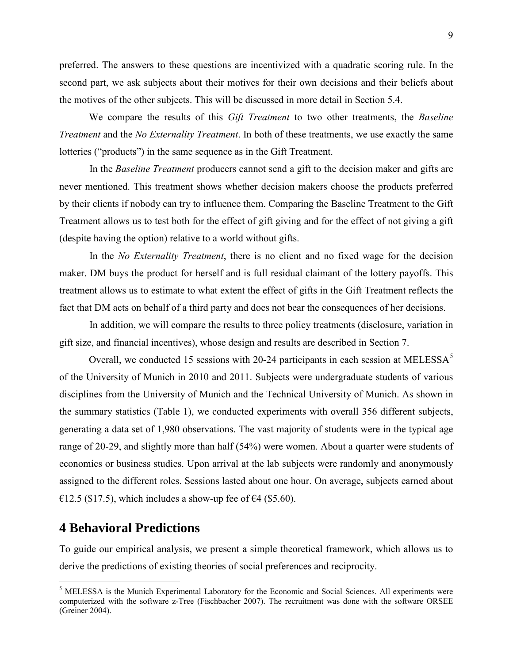preferred. The answers to these questions are incentivized with a quadratic scoring rule. In the second part, we ask subjects about their motives for their own decisions and their beliefs about the motives of the other subjects. This will be discussed in more detail in Section 5.4.

We compare the results of this *Gift Treatment* to two other treatments, the *Baseline Treatment* and the *No Externality Treatment*. In both of these treatments, we use exactly the same lotteries ("products") in the same sequence as in the Gift Treatment.

In the *Baseline Treatment* producers cannot send a gift to the decision maker and gifts are never mentioned. This treatment shows whether decision makers choose the products preferred by their clients if nobody can try to influence them. Comparing the Baseline Treatment to the Gift Treatment allows us to test both for the effect of gift giving and for the effect of not giving a gift (despite having the option) relative to a world without gifts.

In the *No Externality Treatment*, there is no client and no fixed wage for the decision maker. DM buys the product for herself and is full residual claimant of the lottery payoffs. This treatment allows us to estimate to what extent the effect of gifts in the Gift Treatment reflects the fact that DM acts on behalf of a third party and does not bear the consequences of her decisions.

In addition, we will compare the results to three policy treatments (disclosure, variation in gift size, and financial incentives), whose design and results are described in Section 7.

Overall, we conducted 1[5](#page-10-0) sessions with 20-24 participants in each session at MELESSA<sup>5</sup> of the University of Munich in 2010 and 2011. Subjects were undergraduate students of various disciplines from the University of Munich and the Technical University of Munich. As shown in the summary statistics (Table 1), we conducted experiments with overall 356 different subjects, generating a data set of 1,980 observations. The vast majority of students were in the typical age range of 20-29, and slightly more than half (54%) were women. About a quarter were students of economics or business studies. Upon arrival at the lab subjects were randomly and anonymously assigned to the different roles. Sessions lasted about one hour. On average, subjects earned about €12.5 (\$17.5), which includes a show-up fee of  $€4$  (\$5.60).

## **4 Behavioral Predictions**

 $\overline{a}$ 

To guide our empirical analysis, we present a simple theoretical framework, which allows us to derive the predictions of existing theories of social preferences and reciprocity.

<span id="page-10-0"></span><sup>&</sup>lt;sup>5</sup> MELESSA is the Munich Experimental Laboratory for the Economic and Social Sciences. All experiments were computerized with the software z-Tree (Fischbacher 2007). The recruitment was done with the software ORSEE (Greiner 2004).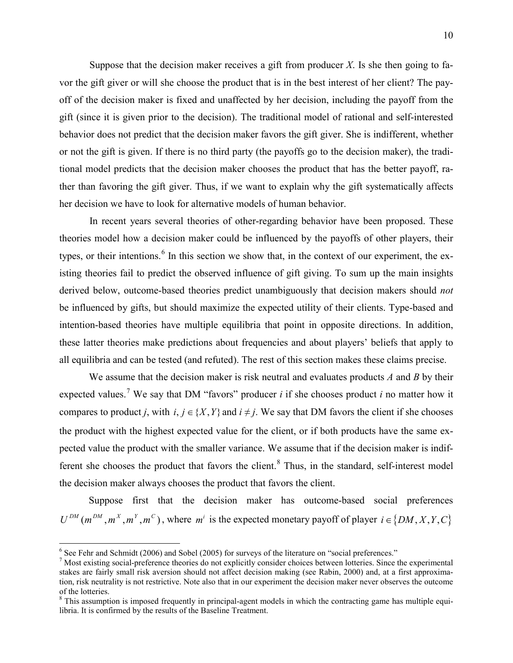Suppose that the decision maker receives a gift from producer  $X$ . Is she then going to favor the gift giver or will she choose the product that is in the best interest of her client? The payoff of the decision maker is fixed and unaffected by her decision, including the payoff from the gift (since it is given prior to the decision). The traditional model of rational and self-interested behavior does not predict that the decision maker favors the gift giver. She is indifferent, whether or not the gift is given. If there is no third party (the payoffs go to the decision maker), the traditional model predicts that the decision maker chooses the product that has the better payoff, rather than favoring the gift giver. Thus, if we want to explain why the gift systematically affects her decision we have to look for alternative models of human behavior.

In recent years several theories of other-regarding behavior have been proposed. These theories model how a decision maker could be influenced by the payoffs of other players, their types, or their intentions.<sup>[6](#page-11-0)</sup> In this section we show that, in the context of our experiment, the existing theories fail to predict the observed influence of gift giving. To sum up the main insights derived below, outcome-based theories predict unambiguously that decision makers should *not* be influenced by gifts, but should maximize the expected utility of their clients. Type-based and intention-based theories have multiple equilibria that point in opposite directions. In addition, these latter theories make predictions about frequencies and about players' beliefs that apply to all equilibria and can be tested (and refuted). The rest of this section makes these claims precise.

We assume that the decision maker is risk neutral and evaluates products *A* and *B* by their expected values.<sup>[7](#page-11-1)</sup> We say that DM "favors" producer *i* if she chooses product *i* no matter how it compares to product *j*, with  $i, j \in \{X, Y\}$  and  $i \neq j$ . We say that DM favors the client if she chooses the product with the highest expected value for the client, or if both products have the same expected value the product with the smaller variance. We assume that if the decision maker is indif-ferent she chooses the product that favors the client.<sup>[8](#page-11-2)</sup> Thus, in the standard, self-interest model the decision maker always chooses the product that favors the client.

Suppose first that the decision maker has outcome-based social preferences  $U^{DM}(m^{DM}, m^X, m^Y, m^C)$ , where  $m^i$  is the expected monetary payoff of player  $i \in \{DM, X, Y, C\}$ 

 $\overline{a}$ 

<span id="page-11-0"></span> $6$  See Fehr and Schmidt (2006) and Sobel (2005) for surveys of the literature on "social preferences."

<span id="page-11-1"></span><sup>7</sup> Most existing social-preference theories do not explicitly consider choices between lotteries. Since the experimental stakes are fairly small risk aversion should not affect decision making (see Rabin, 2000) and, at a first approximation, risk neutrality is not restrictive. Note also that in our experiment the decision maker never observes the outcome of the lotteries.

<span id="page-11-2"></span><sup>&</sup>lt;sup>8</sup> This assumption is imposed frequently in principal-agent models in which the contracting game has multiple equilibria. It is confirmed by the results of the Baseline Treatment.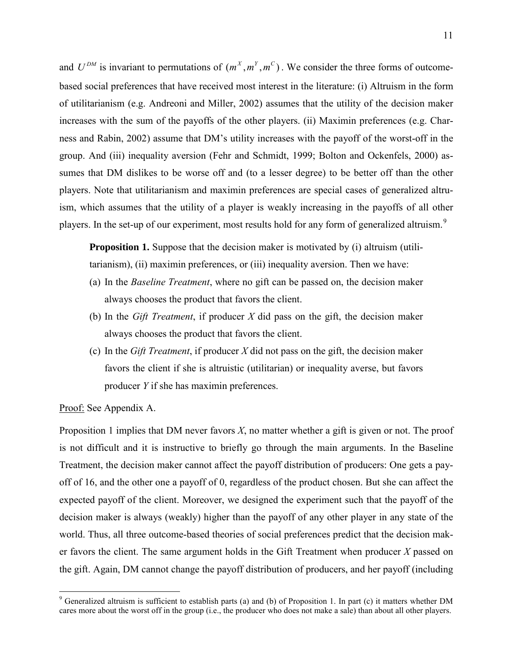and  $U^{DM}$  is invariant to permutations of  $(m^X, m^Y, m^C)$ . We consider the three forms of outcomebased social preferences that have received most interest in the literature: (i) Altruism in the form of utilitarianism (e.g. Andreoni and Miller, 2002) assumes that the utility of the decision maker increases with the sum of the payoffs of the other players. (ii) Maximin preferences (e.g. Charness and Rabin, 2002) assume that DM's utility increases with the payoff of the worst-off in the group. And (iii) inequality aversion (Fehr and Schmidt, 1999; Bolton and Ockenfels, 2000) assumes that DM dislikes to be worse off and (to a lesser degree) to be better off than the other players. Note that utilitarianism and maximin preferences are special cases of generalized altruism, which assumes that the utility of a player is weakly increasing in the payoffs of all other players. In the set-up of our experiment, most results hold for any form of generalized altruism.<sup>[9](#page-12-0)</sup>

**Proposition 1.** Suppose that the decision maker is motivated by (i) altruism (utilitarianism), (ii) maximin preferences, or (iii) inequality aversion. Then we have:

- (a) In the *Baseline Treatment*, where no gift can be passed on, the decision maker always chooses the product that favors the client.
- (b) In the *Gift Treatment*, if producer *X* did pass on the gift, the decision maker always chooses the product that favors the client.
- (c) In the *Gift Treatment*, if producer *X* did not pass on the gift, the decision maker favors the client if she is altruistic (utilitarian) or inequality averse, but favors producer *Y* if she has maximin preferences.

Proof: See Appendix A.

 $\overline{a}$ 

Proposition 1 implies that DM never favors *X*, no matter whether a gift is given or not. The proof is not difficult and it is instructive to briefly go through the main arguments. In the Baseline Treatment, the decision maker cannot affect the payoff distribution of producers: One gets a payoff of 16, and the other one a payoff of 0, regardless of the product chosen. But she can affect the expected payoff of the client. Moreover, we designed the experiment such that the payoff of the decision maker is always (weakly) higher than the payoff of any other player in any state of the world. Thus, all three outcome-based theories of social preferences predict that the decision maker favors the client. The same argument holds in the Gift Treatment when producer *X* passed on the gift. Again, DM cannot change the payoff distribution of producers, and her payoff (including

<span id="page-12-0"></span><sup>&</sup>lt;sup>9</sup> Generalized altruism is sufficient to establish parts (a) and (b) of Proposition 1. In part (c) it matters whether DM cares more about the worst off in the group (i.e., the producer who does not make a sale) than about all other players.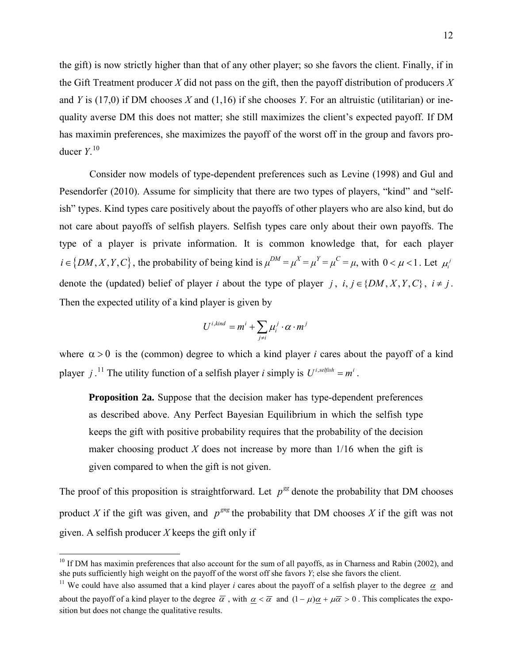the gift) is now strictly higher than that of any other player; so she favors the client. Finally, if in the Gift Treatment producer *X* did not pass on the gift, then the payoff distribution of producers *X* and *Y* is (17,0) if DM chooses *X* and (1,16) if she chooses *Y*. For an altruistic (utilitarian) or inequality averse DM this does not matter; she still maximizes the client's expected payoff. If DM has maximin preferences, she maximizes the payoff of the worst off in the group and favors producer *Y*. [10](#page-13-0) 

Consider now models of type-dependent preferences such as Levine (1998) and Gul and Pesendorfer (2010). Assume for simplicity that there are two types of players, "kind" and "selfish" types. Kind types care positively about the payoffs of other players who are also kind, but do not care about payoffs of selfish players. Selfish types care only about their own payoffs. The type of a player is private information. It is common knowledge that, for each player  $i \in \{DM, X, Y, C\}$ , the probability of being kind is  $\mu^{DM} = \mu^{X} = \mu^{Y} = \mu^{C} = \mu$ , with  $0 < \mu < 1$ . Let  $\mu^{M}_{i}$ denote the (updated) belief of player *i* about the type of player *j*,  $i, j \in \{DM, X, Y, C\}$ ,  $i \neq j$ . Then the expected utility of a kind player is given by

$$
U^{i, kind} = m^i + \sum_{j \neq i} \mu_i^j \cdot \alpha \cdot m^j
$$

where  $\alpha > 0$  is the (common) degree to which a kind player *i* cares about the payoff of a kind player *j*.<sup>11</sup> The utility function of a selfish player *i* simply is  $U^{i, selfish} = m^i$ .

**Proposition 2a.** Suppose that the decision maker has type-dependent preferences as described above. Any Perfect Bayesian Equilibrium in which the selfish type keeps the gift with positive probability requires that the probability of the decision maker choosing product  $X$  does not increase by more than  $1/16$  when the gift is given compared to when the gift is not given.

The proof of this proposition is straightforward. Let  $p^{gg}$  denote the probability that DM chooses product *X* if the gift was given, and  $p^{grg}$  the probability that DM chooses *X* if the gift was not given. A selfish producer *X* keeps the gift only if

 $\overline{a}$ 

<span id="page-13-0"></span><sup>&</sup>lt;sup>10</sup> If DM has maximin preferences that also account for the sum of all payoffs, as in Charness and Rabin (2002), and she puts sufficiently high weight on the payoff of the worst off she favors *Y*; else she favors the client.

<span id="page-13-1"></span><sup>&</sup>lt;sup>11</sup> We could have also assumed that a kind player *i* cares about the payoff of a selfish player to the degree  $\alpha$  and about the payoff of a kind player to the degree  $\overline{\alpha}$ , with  $\alpha < \overline{\alpha}$  and  $(1 - \mu)\alpha + \mu\overline{\alpha} > 0$ . This complicates the exposition but does not change the qualitative results.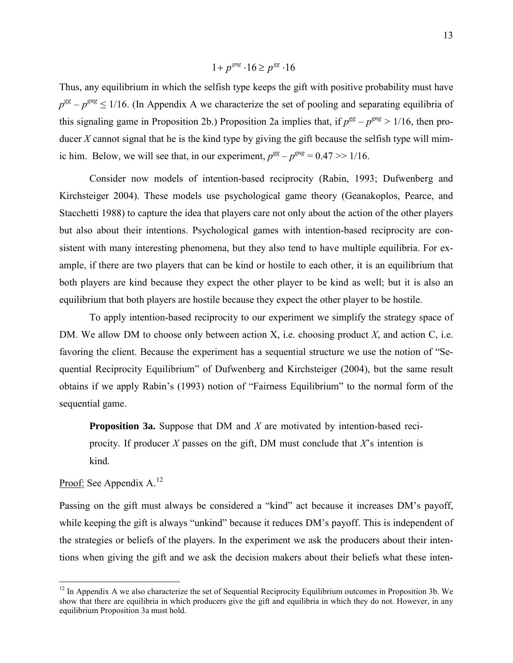$$
1 + p^{gng} \cdot 16 \ge p^{gg} \cdot 16
$$

Thus, any equilibrium in which the selfish type keeps the gift with positive probability must have  $p^{gg} - p^{gng} \le 1/16$ . (In Appendix A we characterize the set of pooling and separating equilibria of this signaling game in Proposition 2b.) Proposition 2a implies that, if  $p^{gg} - p^{gng} > 1/16$ , then producer *X* cannot signal that he is the kind type by giving the gift because the selfish type will mimic him. Below, we will see that, in our experiment,  $p^{gg} - p^{gng} = 0.47 \gg 1/16$ .

Consider now models of intention-based reciprocity (Rabin, 1993; Dufwenberg and Kirchsteiger 2004). These models use psychological game theory (Geanakoplos, Pearce, and Stacchetti 1988) to capture the idea that players care not only about the action of the other players but also about their intentions. Psychological games with intention-based reciprocity are consistent with many interesting phenomena, but they also tend to have multiple equilibria. For example, if there are two players that can be kind or hostile to each other, it is an equilibrium that both players are kind because they expect the other player to be kind as well; but it is also an equilibrium that both players are hostile because they expect the other player to be hostile.

To apply intention-based reciprocity to our experiment we simplify the strategy space of DM. We allow DM to choose only between action X, i.e. choosing product *X*, and action C, i.e. favoring the client. Because the experiment has a sequential structure we use the notion of "Sequential Reciprocity Equilibrium" of Dufwenberg and Kirchsteiger (2004), but the same result obtains if we apply Rabin's (1993) notion of "Fairness Equilibrium" to the normal form of the sequential game.

**Proposition 3a.** Suppose that DM and *X* are motivated by intention-based reciprocity. If producer *X* passes on the gift, DM must conclude that *X*'s intention is kind.

Proof: See Appendix A.<sup>12</sup>

 $\overline{a}$ 

Passing on the gift must always be considered a "kind" act because it increases DM's payoff, while keeping the gift is always "unkind" because it reduces DM's payoff. This is independent of the strategies or beliefs of the players. In the experiment we ask the producers about their intentions when giving the gift and we ask the decision makers about their beliefs what these inten-

<span id="page-14-0"></span> $12$  In Appendix A we also characterize the set of Sequential Reciprocity Equilibrium outcomes in Proposition 3b. We show that there are equilibria in which producers give the gift and equilibria in which they do not. However, in any equilibrium Proposition 3a must hold.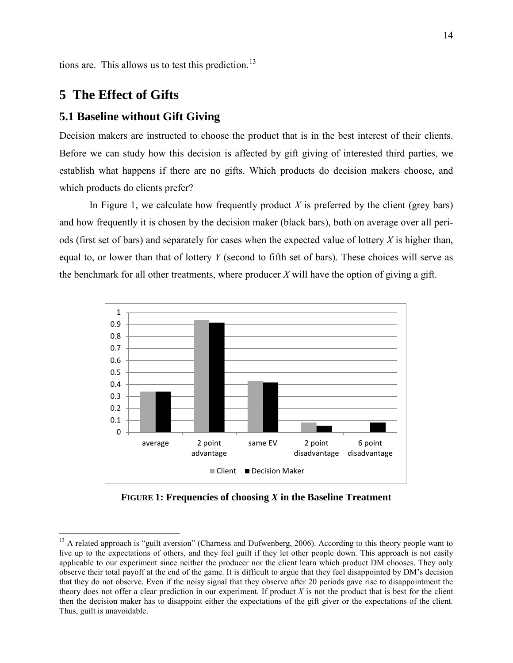tions are. This allows us to test this prediction.<sup>[13](#page-15-0)</sup>

## **5 The Effect of Gifts**

### **5.1 Baseline without Gift Giving**

Decision makers are instructed to choose the product that is in the best interest of their clients. Before we can study how this decision is affected by gift giving of interested third parties, we establish what happens if there are no gifts. Which products do decision makers choose, and which products do clients prefer?

In Figure 1, we calculate how frequently product *X* is preferred by the client (grey bars) and how frequently it is chosen by the decision maker (black bars), both on average over all periods (first set of bars) and separately for cases when the expected value of lottery *X* is higher than, equal to, or lower than that of lottery *Y* (second to fifth set of bars). These choices will serve as the benchmark for all other treatments, where producer  $X$  will have the option of giving a gift.



**FIGURE 1: Frequencies of choosing** *X* **in the Baseline Treatment**

<span id="page-15-0"></span> $\overline{a}$  $13$  A related approach is "guilt aversion" (Charness and Dufwenberg, 2006). According to this theory people want to live up to the expectations of others, and they feel guilt if they let other people down. This approach is not easily applicable to our experiment since neither the producer nor the client learn which product DM chooses. They only observe their total payoff at the end of the game. It is difficult to argue that they feel disappointed by DM's decision that they do not observe. Even if the noisy signal that they observe after 20 periods gave rise to disappointment the theory does not offer a clear prediction in our experiment. If product *X* is not the product that is best for the client then the decision maker has to disappoint either the expectations of the gift giver or the expectations of the client. Thus, guilt is unavoidable.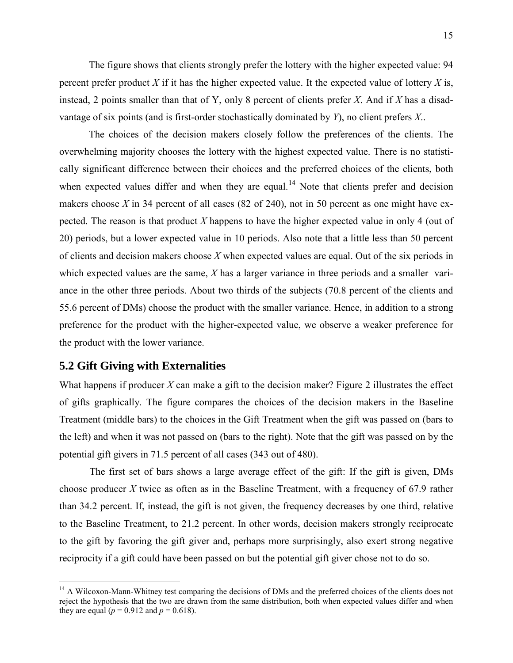The figure shows that clients strongly prefer the lottery with the higher expected value: 94 percent prefer product  $X$  if it has the higher expected value. It the expected value of lottery  $X$  is, instead, 2 points smaller than that of Y, only 8 percent of clients prefer *X*. And if *X* has a disadvantage of six points (and is first-order stochastically dominated by *Y*), no client prefers *X*..

The choices of the decision makers closely follow the preferences of the clients. The overwhelming majority chooses the lottery with the highest expected value. There is no statistically significant difference between their choices and the preferred choices of the clients, both when expected values differ and when they are equal.<sup>[14](#page-16-0)</sup> Note that clients prefer and decision makers choose *X* in 34 percent of all cases (82 of 240), not in 50 percent as one might have expected. The reason is that product *X* happens to have the higher expected value in only 4 (out of 20) periods, but a lower expected value in 10 periods. Also note that a little less than 50 percent of clients and decision makers choose *X* when expected values are equal. Out of the six periods in which expected values are the same, *X* has a larger variance in three periods and a smaller variance in the other three periods. About two thirds of the subjects (70.8 percent of the clients and 55.6 percent of DMs) choose the product with the smaller variance. Hence, in addition to a strong preference for the product with the higher-expected value, we observe a weaker preference for the product with the lower variance.

### **5.2 Gift Giving with Externalities**

 $\overline{a}$ 

What happens if producer  $X$  can make a gift to the decision maker? Figure 2 illustrates the effect of gifts graphically. The figure compares the choices of the decision makers in the Baseline Treatment (middle bars) to the choices in the Gift Treatment when the gift was passed on (bars to the left) and when it was not passed on (bars to the right). Note that the gift was passed on by the potential gift givers in 71.5 percent of all cases (343 out of 480).

The first set of bars shows a large average effect of the gift: If the gift is given, DMs choose producer *X* twice as often as in the Baseline Treatment, with a frequency of 67.9 rather than 34.2 percent. If, instead, the gift is not given, the frequency decreases by one third, relative to the Baseline Treatment, to 21.2 percent. In other words, decision makers strongly reciprocate to the gift by favoring the gift giver and, perhaps more surprisingly, also exert strong negative reciprocity if a gift could have been passed on but the potential gift giver chose not to do so.

<span id="page-16-0"></span><sup>&</sup>lt;sup>14</sup> A Wilcoxon-Mann-Whitney test comparing the decisions of DMs and the preferred choices of the clients does not reject the hypothesis that the two are drawn from the same distribution, both when expected values differ and when they are equal ( $p = 0.912$  and  $p = 0.618$ ).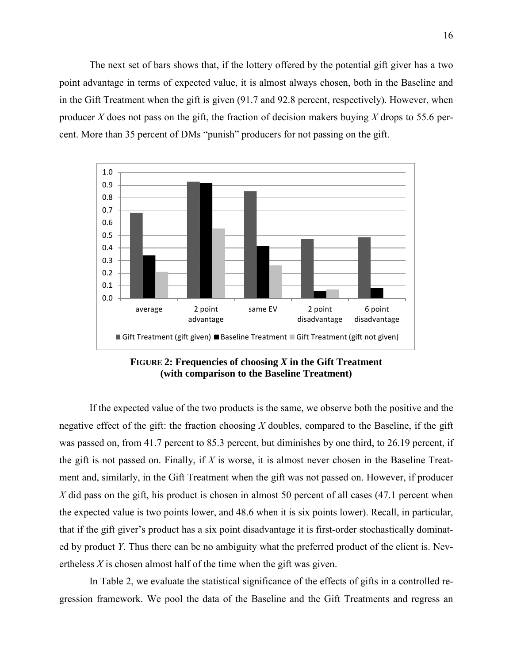The next set of bars shows that, if the lottery offered by the potential gift giver has a two point advantage in terms of expected value, it is almost always chosen, both in the Baseline and in the Gift Treatment when the gift is given (91.7 and 92.8 percent, respectively). However, when producer *X* does not pass on the gift, the fraction of decision makers buying *X* drops to 55.6 percent. More than 35 percent of DMs "punish" producers for not passing on the gift.



**FIGURE 2: Frequencies of choosing** *X* **in the Gift Treatment (with comparison to the Baseline Treatment)**

If the expected value of the two products is the same, we observe both the positive and the negative effect of the gift: the fraction choosing *X* doubles, compared to the Baseline, if the gift was passed on, from 41.7 percent to 85.3 percent, but diminishes by one third, to 26.19 percent, if the gift is not passed on. Finally, if *X* is worse, it is almost never chosen in the Baseline Treatment and, similarly, in the Gift Treatment when the gift was not passed on. However, if producer *X* did pass on the gift, his product is chosen in almost 50 percent of all cases (47.1 percent when the expected value is two points lower, and 48.6 when it is six points lower). Recall, in particular, that if the gift giver's product has a six point disadvantage it is first-order stochastically dominated by product *Y*. Thus there can be no ambiguity what the preferred product of the client is. Nevertheless *X* is chosen almost half of the time when the gift was given.

In Table 2, we evaluate the statistical significance of the effects of gifts in a controlled regression framework. We pool the data of the Baseline and the Gift Treatments and regress an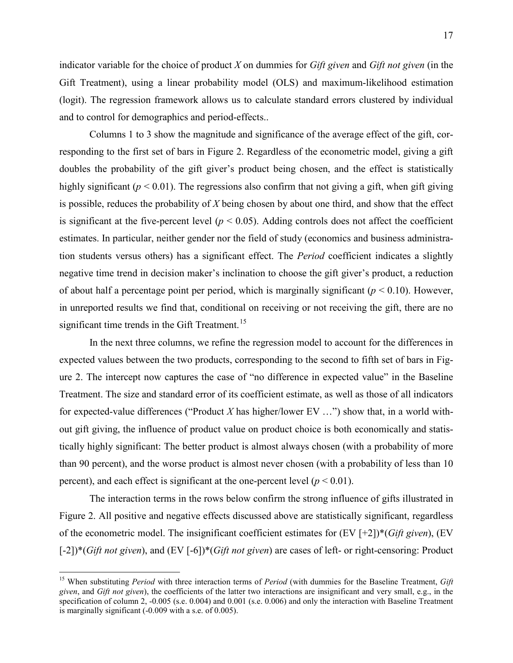indicator variable for the choice of product *X* on dummies for *Gift given* and *Gift not given* (in the Gift Treatment), using a linear probability model (OLS) and maximum-likelihood estimation (logit). The regression framework allows us to calculate standard errors clustered by individual and to control for demographics and period-effects..

Columns 1 to 3 show the magnitude and significance of the average effect of the gift, corresponding to the first set of bars in Figure 2. Regardless of the econometric model, giving a gift doubles the probability of the gift giver's product being chosen, and the effect is statistically highly significant ( $p < 0.01$ ). The regressions also confirm that not giving a gift, when gift giving is possible, reduces the probability of *X* being chosen by about one third, and show that the effect is significant at the five-percent level ( $p < 0.05$ ). Adding controls does not affect the coefficient estimates. In particular, neither gender nor the field of study (economics and business administration students versus others) has a significant effect. The *Period* coefficient indicates a slightly negative time trend in decision maker's inclination to choose the gift giver's product, a reduction of about half a percentage point per period, which is marginally significant ( $p < 0.10$ ). However, in unreported results we find that, conditional on receiving or not receiving the gift, there are no significant time trends in the Gift Treatment.<sup>[15](#page-18-0)</sup>

In the next three columns, we refine the regression model to account for the differences in expected values between the two products, corresponding to the second to fifth set of bars in Figure 2. The intercept now captures the case of "no difference in expected value" in the Baseline Treatment. The size and standard error of its coefficient estimate, as well as those of all indicators for expected-value differences ("Product *X* has higher/lower EV …") show that, in a world without gift giving, the influence of product value on product choice is both economically and statistically highly significant: The better product is almost always chosen (with a probability of more than 90 percent), and the worse product is almost never chosen (with a probability of less than 10 percent), and each effect is significant at the one-percent level  $(p < 0.01)$ .

The interaction terms in the rows below confirm the strong influence of gifts illustrated in Figure 2. All positive and negative effects discussed above are statistically significant, regardless of the econometric model. The insignificant coefficient estimates for (EV [+2])\*(*Gift given*), (EV [-2])\*(*Gift not given*), and (EV [-6])\*(*Gift not given*) are cases of left- or right-censoring: Product

 $\overline{a}$ 

<span id="page-18-0"></span><sup>15</sup> When substituting *Period* with three interaction terms of *Period* (with dummies for the Baseline Treatment, *Gift given*, and *Gift not given*), the coefficients of the latter two interactions are insignificant and very small, e.g., in the specification of column 2, -0.005 (s.e. 0.004) and 0.001 (s.e. 0.006) and only the interaction with Baseline Treatment is marginally significant (-0.009 with a s.e. of 0.005).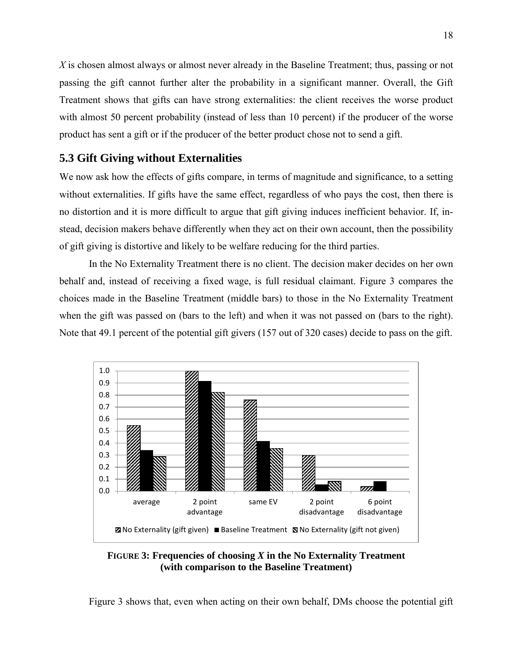*X* is chosen almost always or almost never already in the Baseline Treatment; thus, passing or not passing the gift cannot further alter the probability in a significant manner. Overall, the Gift Treatment shows that gifts can have strong externalities: the client receives the worse product with almost 50 percent probability (instead of less than 10 percent) if the producer of the worse product has sent a gift or if the producer of the better product chose not to send a gift.

## **5.3 Gift Giving without Externalities**

We now ask how the effects of gifts compare, in terms of magnitude and significance, to a setting without externalities. If gifts have the same effect, regardless of who pays the cost, then there is no distortion and it is more difficult to argue that gift giving induces inefficient behavior. If, instead, decision makers behave differently when they act on their own account, then the possibility of gift giving is distortive and likely to be welfare reducing for the third parties.

In the No Externality Treatment there is no client. The decision maker decides on her own behalf and, instead of receiving a fixed wage, is full residual claimant. Figure 3 compares the choices made in the Baseline Treatment (middle bars) to those in the No Externality Treatment when the gift was passed on (bars to the left) and when it was not passed on (bars to the right). Note that 49.1 percent of the potential gift givers (157 out of 320 cases) decide to pass on the gift.



**FIGURE 3: Frequencies of choosing** *X* **in the No Externality Treatment (with comparison to the Baseline Treatment)**

Figure 3 shows that, even when acting on their own behalf, DMs choose the potential gift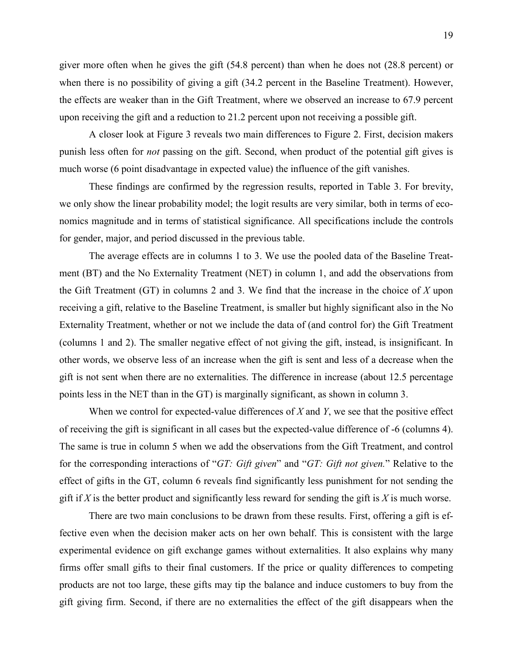giver more often when he gives the gift (54.8 percent) than when he does not (28.8 percent) or when there is no possibility of giving a gift (34.2 percent in the Baseline Treatment). However, the effects are weaker than in the Gift Treatment, where we observed an increase to 67.9 percent upon receiving the gift and a reduction to 21.2 percent upon not receiving a possible gift.

A closer look at Figure 3 reveals two main differences to Figure 2. First, decision makers punish less often for *not* passing on the gift. Second, when product of the potential gift gives is much worse (6 point disadvantage in expected value) the influence of the gift vanishes.

These findings are confirmed by the regression results, reported in Table 3. For brevity, we only show the linear probability model; the logit results are very similar, both in terms of economics magnitude and in terms of statistical significance. All specifications include the controls for gender, major, and period discussed in the previous table.

The average effects are in columns 1 to 3. We use the pooled data of the Baseline Treatment (BT) and the No Externality Treatment (NET) in column 1, and add the observations from the Gift Treatment (GT) in columns 2 and 3. We find that the increase in the choice of *X* upon receiving a gift, relative to the Baseline Treatment, is smaller but highly significant also in the No Externality Treatment, whether or not we include the data of (and control for) the Gift Treatment (columns 1 and 2). The smaller negative effect of not giving the gift, instead, is insignificant. In other words, we observe less of an increase when the gift is sent and less of a decrease when the gift is not sent when there are no externalities. The difference in increase (about 12.5 percentage points less in the NET than in the GT) is marginally significant, as shown in column 3.

When we control for expected-value differences of *X* and *Y*, we see that the positive effect of receiving the gift is significant in all cases but the expected-value difference of -6 (columns 4). The same is true in column 5 when we add the observations from the Gift Treatment, and control for the corresponding interactions of "*GT: Gift given*" and "*GT: Gift not given.*" Relative to the effect of gifts in the GT, column 6 reveals find significantly less punishment for not sending the gift if *X* is the better product and significantly less reward for sending the gift is *X* is much worse.

There are two main conclusions to be drawn from these results. First, offering a gift is effective even when the decision maker acts on her own behalf. This is consistent with the large experimental evidence on gift exchange games without externalities. It also explains why many firms offer small gifts to their final customers. If the price or quality differences to competing products are not too large, these gifts may tip the balance and induce customers to buy from the gift giving firm. Second, if there are no externalities the effect of the gift disappears when the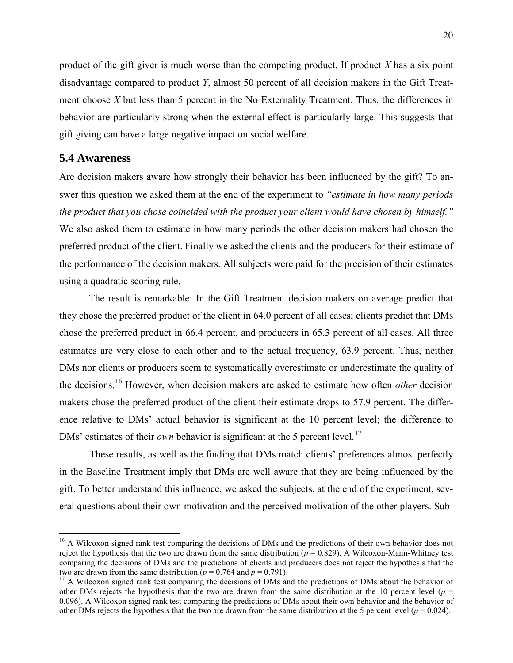product of the gift giver is much worse than the competing product. If product *X* has a six point disadvantage compared to product *Y*, almost 50 percent of all decision makers in the Gift Treatment choose *X* but less than 5 percent in the No Externality Treatment. Thus, the differences in behavior are particularly strong when the external effect is particularly large. This suggests that gift giving can have a large negative impact on social welfare.

## **5.4 Awareness**

 $\overline{a}$ 

Are decision makers aware how strongly their behavior has been influenced by the gift? To answer this question we asked them at the end of the experiment to *"estimate in how many periods the product that you chose coincided with the product your client would have chosen by himself."* We also asked them to estimate in how many periods the other decision makers had chosen the preferred product of the client. Finally we asked the clients and the producers for their estimate of the performance of the decision makers. All subjects were paid for the precision of their estimates using a quadratic scoring rule.

The result is remarkable: In the Gift Treatment decision makers on average predict that they chose the preferred product of the client in 64.0 percent of all cases; clients predict that DMs chose the preferred product in 66.4 percent, and producers in 65.3 percent of all cases. All three estimates are very close to each other and to the actual frequency, 63.9 percent. Thus, neither DMs nor clients or producers seem to systematically overestimate or underestimate the quality of the decisions.[16](#page-21-0) However, when decision makers are asked to estimate how often *other* decision makers chose the preferred product of the client their estimate drops to 57.9 percent. The difference relative to DMs' actual behavior is significant at the 10 percent level; the difference to DMs' estimates of their *own* behavior is significant at the 5 percent level.<sup>[17](#page-21-1)</sup>

These results, as well as the finding that DMs match clients' preferences almost perfectly in the Baseline Treatment imply that DMs are well aware that they are being influenced by the gift. To better understand this influence, we asked the subjects, at the end of the experiment, several questions about their own motivation and the perceived motivation of the other players. Sub-

<span id="page-21-0"></span><sup>&</sup>lt;sup>16</sup> A Wilcoxon signed rank test comparing the decisions of DMs and the predictions of their own behavior does not reject the hypothesis that the two are drawn from the same distribution ( $p = 0.829$ ). A Wilcoxon-Mann-Whitney test comparing the decisions of DMs and the predictions of clients and producers does not reject the hypothesis that the two are drawn from the same distribution  $(p = 0.764$  and  $p = 0.791)$ .

<span id="page-21-1"></span><sup>&</sup>lt;sup>17</sup> A Wilcoxon signed rank test comparing the decisions of DMs and the predictions of DMs about the behavior of other DMs rejects the hypothesis that the two are drawn from the same distribution at the 10 percent level ( $p =$ 0.096). A Wilcoxon signed rank test comparing the predictions of DMs about their own behavior and the behavior of other DMs rejects the hypothesis that the two are drawn from the same distribution at the 5 percent level ( $p = 0.024$ ).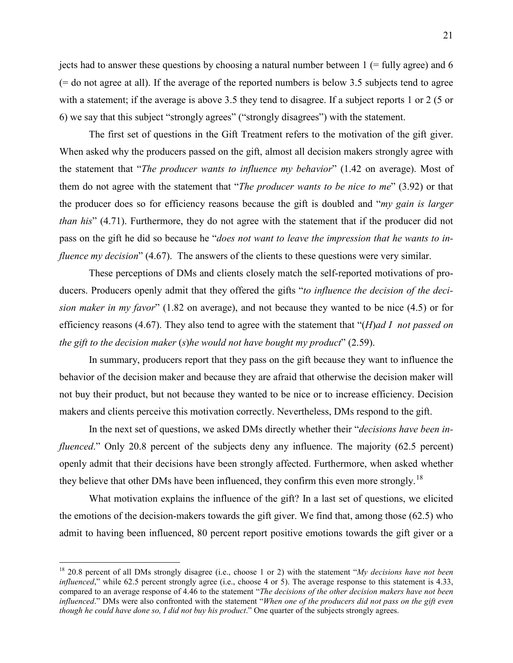jects had to answer these questions by choosing a natural number between  $1$  (= fully agree) and 6 (= do not agree at all). If the average of the reported numbers is below 3.5 subjects tend to agree with a statement; if the average is above 3.5 they tend to disagree. If a subject reports 1 or 2 (5 or 6) we say that this subject "strongly agrees" ("strongly disagrees") with the statement.

The first set of questions in the Gift Treatment refers to the motivation of the gift giver. When asked why the producers passed on the gift, almost all decision makers strongly agree with the statement that "*The producer wants to influence my behavior*" (1.42 on average). Most of them do not agree with the statement that "*The producer wants to be nice to me*" (3.92) or that the producer does so for efficiency reasons because the gift is doubled and "*my gain is larger than his*" (4.71). Furthermore, they do not agree with the statement that if the producer did not pass on the gift he did so because he "*does not want to leave the impression that he wants to influence my decision*" (4.67). The answers of the clients to these questions were very similar.

These perceptions of DMs and clients closely match the self-reported motivations of producers. Producers openly admit that they offered the gifts "*to influence the decision of the decision maker in my favor*" (1.82 on average), and not because they wanted to be nice (4.5) or for efficiency reasons (4.67). They also tend to agree with the statement that "(*H*)*ad I not passed on the gift to the decision maker* (*s*)*he would not have bought my product*" (2.59).

In summary, producers report that they pass on the gift because they want to influence the behavior of the decision maker and because they are afraid that otherwise the decision maker will not buy their product, but not because they wanted to be nice or to increase efficiency. Decision makers and clients perceive this motivation correctly. Nevertheless, DMs respond to the gift.

In the next set of questions, we asked DMs directly whether their "*decisions have been influenced.*" Only 20.8 percent of the subjects deny any influence. The majority (62.5 percent) openly admit that their decisions have been strongly affected. Furthermore, when asked whether they believe that other DMs have been influenced, they confirm this even more strongly.<sup>[18](#page-22-0)</sup>

What motivation explains the influence of the gift? In a last set of questions, we elicited the emotions of the decision-makers towards the gift giver. We find that, among those (62.5) who admit to having been influenced, 80 percent report positive emotions towards the gift giver or a

 $\overline{a}$ 

<span id="page-22-0"></span><sup>18</sup> 20.8 percent of all DMs strongly disagree (i.e., choose 1 or 2) with the statement "*My decisions have not been influenced*," while 62.5 percent strongly agree (i.e., choose 4 or 5). The average response to this statement is 4.33, compared to an average response of 4.46 to the statement "*The decisions of the other decision makers have not been influenced*." DMs were also confronted with the statement "*When one of the producers did not pass on the gift even though he could have done so, I did not buy his product.*" One quarter of the subjects strongly agrees.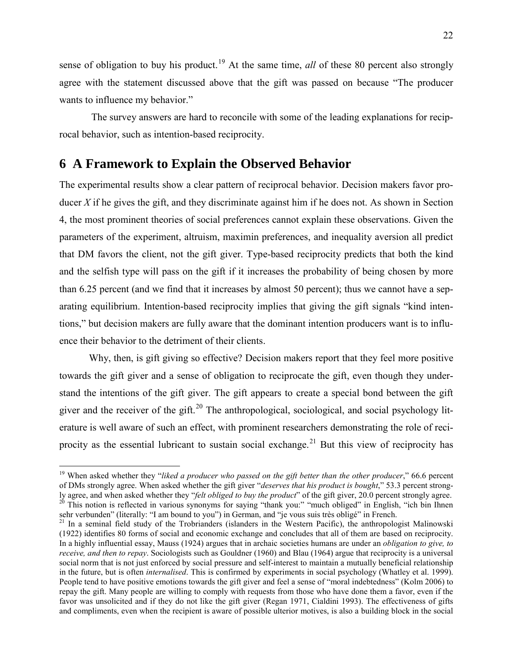sense of obligation to buy his product.<sup>[19](#page-23-0)</sup> At the same time, *all* of these 80 percent also strongly agree with the statement discussed above that the gift was passed on because "The producer wants to influence my behavior."

The survey answers are hard to reconcile with some of the leading explanations for reciprocal behavior, such as intention-based reciprocity.

# **6 A Framework to Explain the Observed Behavior**

The experimental results show a clear pattern of reciprocal behavior. Decision makers favor producer  $X$  if he gives the gift, and they discriminate against him if he does not. As shown in Section 4, the most prominent theories of social preferences cannot explain these observations. Given the parameters of the experiment, altruism, maximin preferences, and inequality aversion all predict that DM favors the client, not the gift giver. Type-based reciprocity predicts that both the kind and the selfish type will pass on the gift if it increases the probability of being chosen by more than 6.25 percent (and we find that it increases by almost 50 percent); thus we cannot have a separating equilibrium. Intention-based reciprocity implies that giving the gift signals "kind intentions," but decision makers are fully aware that the dominant intention producers want is to influence their behavior to the detriment of their clients.

Why, then, is gift giving so effective? Decision makers report that they feel more positive towards the gift giver and a sense of obligation to reciprocate the gift, even though they understand the intentions of the gift giver. The gift appears to create a special bond between the gift giver and the receiver of the gift.<sup>[20](#page-23-1)</sup> The anthropological, sociological, and social psychology literature is well aware of such an effect, with prominent researchers demonstrating the role of reci-procity as the essential lubricant to sustain social exchange.<sup>[21](#page-23-2)</sup> But this view of reciprocity has

 $\overline{a}$ 

<span id="page-23-0"></span><sup>&</sup>lt;sup>19</sup> When asked whether they "*liked a producer who passed on the gift better than the other producer*," 66.6 percent of DMs strongly agree. When asked whether the gift giver "*deserves that his product is bought*," 53.3 percent strongly agree, and when asked whether they "*felt obliged to buy the product*" of the gift giver, 20.0 percent strongly agree. <sup>20</sup> This notion is reflected in various synonyms for saying "thank you:" "much obliged" in English, "ich bin Ihnen sehr verbunden" (literally: "I am bound to you") in German, and "je vous suis très obligé" in French.

<span id="page-23-2"></span><span id="page-23-1"></span> $21$  In a seminal field study of the Trobrianders (islanders in the Western Pacific), the anthropologist Malinowski (1922) identifies 80 forms of social and economic exchange and concludes that all of them are based on reciprocity. In a highly influential essay, Mauss (1924) argues that in archaic societies humans are under an *obligation to give, to receive, and then to repay*. Sociologists such as Gouldner (1960) and Blau (1964) argue that reciprocity is a universal social norm that is not just enforced by social pressure and self-interest to maintain a mutually beneficial relationship in the future, but is often *internalised*. This is confirmed by experiments in social psychology (Whatley et al. 1999). People tend to have positive emotions towards the gift giver and feel a sense of "moral indebtedness" (Kolm 2006) to repay the gift. Many people are willing to comply with requests from those who have done them a favor, even if the favor was unsolicited and if they do not like the gift giver (Regan 1971, Cialdini 1993). The effectiveness of gifts and compliments, even when the recipient is aware of possible ulterior motives, is also a building block in the social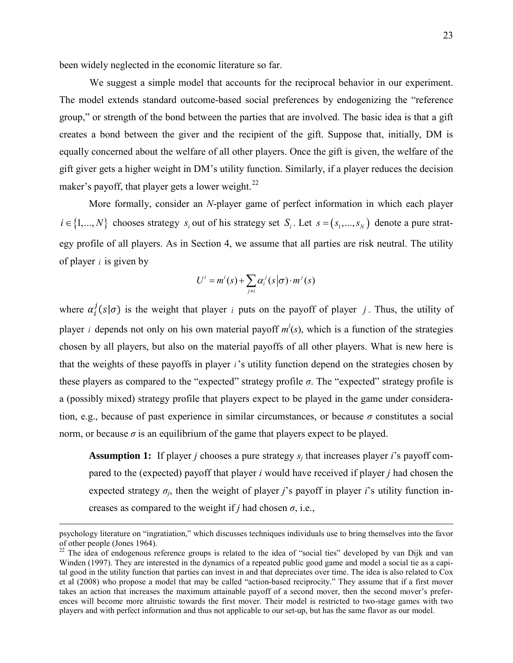been widely neglected in the economic literature so far.

We suggest a simple model that accounts for the reciprocal behavior in our experiment. The model extends standard outcome-based social preferences by endogenizing the "reference group," or strength of the bond between the parties that are involved. The basic idea is that a gift creates a bond between the giver and the recipient of the gift. Suppose that, initially, DM is equally concerned about the welfare of all other players. Once the gift is given, the welfare of the gift giver gets a higher weight in DM's utility function. Similarly, if a player reduces the decision maker's payoff, that player gets a lower weight. $^{22}$  $^{22}$  $^{22}$ 

More formally, consider an *N*-player game of perfect information in which each player  $i \in \{1, ..., N\}$  chooses strategy  $s_i$  out of his strategy set  $S_i$ . Let  $s = (s_1, ..., s_N)$  denote a pure strategy profile of all players. As in Section 4, we assume that all parties are risk neutral. The utility of player *i* is given by

$$
U^i = m^i(s) + \sum_{j \neq i} \alpha_i^j(s|\sigma) \cdot m^j(s)
$$

where  $\alpha_i^j(s|\sigma)$  is the weight that player *i* puts on the payoff of player *j*. Thus, the utility of player *i* depends not only on his own material payoff  $m^i(s)$ , which is a function of the strategies chosen by all players, but also on the material payoffs of all other players. What is new here is that the weights of these payoffs in player *i*'s utility function depend on the strategies chosen by these players as compared to the "expected" strategy profile  $\sigma$ . The "expected" strategy profile is a (possibly mixed) strategy profile that players expect to be played in the game under consideration, e.g., because of past experience in similar circumstances, or because  $\sigma$  constitutes a social norm, or because  $\sigma$  is an equilibrium of the game that players expect to be played.

**Assumption 1:** If player *j* chooses a pure strategy *sj* that increases player *i*'s payoff compared to the (expected) payoff that player *i* would have received if player *j* had chosen the expected strategy  $\sigma_i$ , then the weight of player *j*'s payoff in player *i*'s utility function increases as compared to the weight if *j* had chosen  $\sigma$ , i.e.,

psychology literature on "ingratiation," which discusses techniques individuals use to bring themselves into the favor

<span id="page-24-0"></span><sup>&</sup>lt;sup>22</sup> The idea of endogenous reference groups is related to the idea of "social ties" developed by van Dijk and van Winden (1997). They are interested in the dynamics of a repeated public good game and model a social tie as a capital good in the utility function that parties can invest in and that depreciates over time. The idea is also related to Cox et al (2008) who propose a model that may be called "action-based reciprocity." They assume that if a first mover takes an action that increases the maximum attainable payoff of a second mover, then the second mover's preferences will become more altruistic towards the first mover. Their model is restricted to two-stage games with two players and with perfect information and thus not applicable to our set-up, but has the same flavor as our model.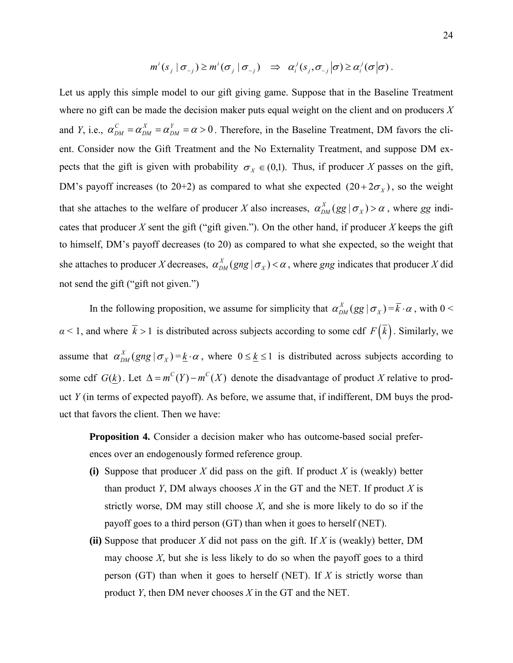$$
m^i(s_j | \sigma_{-j}) \geq m^i(\sigma_j | \sigma_{-j}) \Rightarrow \alpha_i^j(s_j, \sigma_{-j} | \sigma) \geq \alpha_i^j(\sigma | \sigma).
$$

Let us apply this simple model to our gift giving game. Suppose that in the Baseline Treatment where no gift can be made the decision maker puts equal weight on the client and on producers *X* and *Y*, i.e.,  $\alpha_{DM}^C = \alpha_{DM}^X = \alpha_{DM}^Y = \alpha > 0$ *X DM*  $C_{DM} = \alpha_{DM}^X = \alpha_{DM}^Y = \alpha > 0$ . Therefore, in the Baseline Treatment, DM favors the client. Consider now the Gift Treatment and the No Externality Treatment, and suppose DM expects that the gift is given with probability  $\sigma_X \in (0,1)$ . Thus, if producer *X* passes on the gift, DM's payoff increases (to 20+2) as compared to what she expected  $(20+2\sigma_X)$ , so the weight that she attaches to the welfare of producer *X* also increases,  $\alpha_{DM}^X(gg | \sigma_X) > \alpha$ , where *gg* indicates that producer  $X$  sent the gift ("gift given."). On the other hand, if producer  $X$  keeps the gift to himself, DM's payoff decreases (to 20) as compared to what she expected, so the weight that she attaches to producer *X* decreases,  $\alpha_{DM}^X(gng | \sigma_X) < \alpha$ , where *gng* indicates that producer *X* did not send the gift ("gift not given.")

In the following proposition, we assume for simplicity that  $\alpha_{DM}^X(gg | \sigma_X) = \bar{k} \cdot \alpha$ , with 0 < *α* < 1, and where  $\bar{k}$  > 1 is distributed across subjects according to some cdf  $F(\bar{k})$ . Similarly, we assume that  $\alpha_{DM}^X(gng \mid \sigma_X) = k \cdot \alpha$ , where  $0 \le k \le 1$  is distributed across subjects according to some cdf  $G(k)$ . Let  $\Delta = m^C(Y) - m^C(X)$  denote the disadvantage of product *X* relative to product *Y* (in terms of expected payoff). As before, we assume that, if indifferent, DM buys the product that favors the client. Then we have:

**Proposition 4.** Consider a decision maker who has outcome-based social preferences over an endogenously formed reference group.

- **(i)** Suppose that producer *X* did pass on the gift. If product *X* is (weakly) better than product *Y*, DM always chooses *X* in the GT and the NET. If product *X* is strictly worse, DM may still choose *X*, and she is more likely to do so if the payoff goes to a third person (GT) than when it goes to herself (NET).
- **(ii)** Suppose that producer *X* did not pass on the gift. If *X* is (weakly) better, DM may choose  $X$ , but she is less likely to do so when the payoff goes to a third person (GT) than when it goes to herself (NET). If *X* is strictly worse than product *Y*, then DM never chooses *X* in the GT and the NET.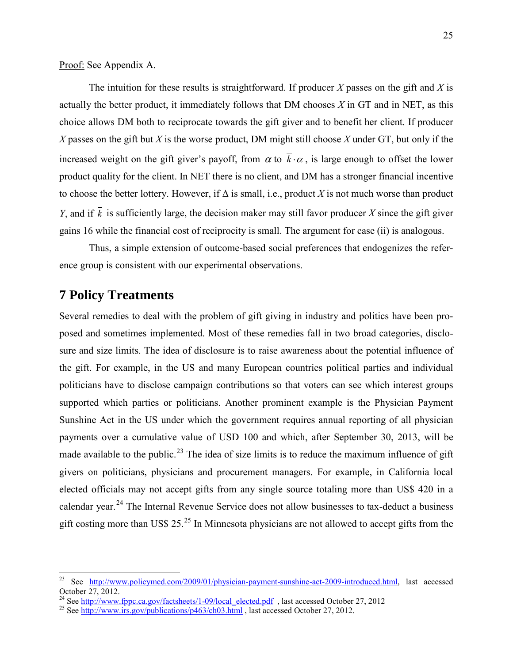Proof: See Appendix A.

The intuition for these results is straightforward. If producer *X* passes on the gift and *X* is actually the better product, it immediately follows that DM chooses *X* in GT and in NET, as this choice allows DM both to reciprocate towards the gift giver and to benefit her client. If producer *X* passes on the gift but *X* is the worse product, DM might still choose *X* under GT, but only if the increased weight on the gift giver's payoff, from  $\alpha$  to  $\overline{k} \cdot \alpha$ , is large enough to offset the lower product quality for the client. In NET there is no client, and DM has a stronger financial incentive to choose the better lottery. However, if  $\Delta$  is small, i.e., product X is not much worse than product *Y*, and if  $\overline{k}$  is sufficiently large, the decision maker may still favor producer *X* since the gift giver gains 16 while the financial cost of reciprocity is small. The argument for case (ii) is analogous.

 Thus, a simple extension of outcome-based social preferences that endogenizes the reference group is consistent with our experimental observations.

## **7 Policy Treatments**

Several remedies to deal with the problem of gift giving in industry and politics have been proposed and sometimes implemented. Most of these remedies fall in two broad categories, disclosure and size limits. The idea of disclosure is to raise awareness about the potential influence of the gift. For example, in the US and many European countries political parties and individual politicians have to disclose campaign contributions so that voters can see which interest groups supported which parties or politicians. Another prominent example is the Physician Payment Sunshine Act in the US under which the government requires annual reporting of all physician payments over a cumulative value of USD 100 and which, after September 30, 2013, will be made available to the public.<sup>[23](#page-26-0)</sup> The idea of size limits is to reduce the maximum influence of gift givers on politicians, physicians and procurement managers. For example, in California local elected officials may not accept gifts from any single source totaling more than US\$ 420 in a calendar year.<sup>[24](#page-26-1)</sup> The Internal Revenue Service does not allow businesses to tax-deduct a business gift costing more than US\$  $25.^{25}$  $25.^{25}$  In Minnesota physicians are not allowed to accept gifts from the

<span id="page-26-0"></span><sup>23</sup> <sup>23</sup> See [http://www.policymed.com/2009/01/physician-payment-sunshine-act-2009-introduced.html,](http://www.policymed.com/2009/01/physician-payment-sunshine-act-2009-introduced.html) last accessed October 27, 2012.

<span id="page-26-1"></span><sup>&</sup>lt;sup>24</sup> See <u>http://www.fppc.ca.gov/factsheets/1-09/local\_elected.pdf</u>, last accessed October 27, 2012

<span id="page-26-2"></span><sup>&</sup>lt;sup>25</sup> See<http://www.irs.gov/publications/p463/ch03.html>, last accessed October 27, 2012.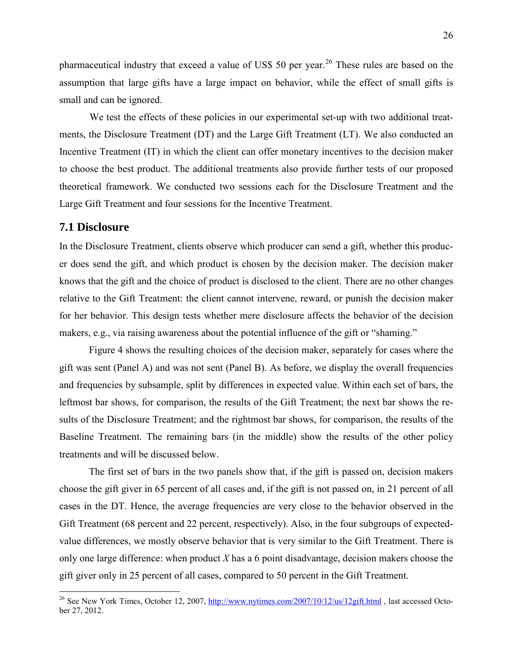pharmaceutical industry that exceed a value of US\$ 50 per year.<sup>[26](#page-27-0)</sup> These rules are based on the assumption that large gifts have a large impact on behavior, while the effect of small gifts is small and can be ignored.

We test the effects of these policies in our experimental set-up with two additional treatments, the Disclosure Treatment (DT) and the Large Gift Treatment (LT). We also conducted an Incentive Treatment (IT) in which the client can offer monetary incentives to the decision maker to choose the best product. The additional treatments also provide further tests of our proposed theoretical framework. We conducted two sessions each for the Disclosure Treatment and the Large Gift Treatment and four sessions for the Incentive Treatment.

## **7.1 Disclosure**

 $\overline{a}$ 

In the Disclosure Treatment, clients observe which producer can send a gift, whether this producer does send the gift, and which product is chosen by the decision maker. The decision maker knows that the gift and the choice of product is disclosed to the client. There are no other changes relative to the Gift Treatment: the client cannot intervene, reward, or punish the decision maker for her behavior. This design tests whether mere disclosure affects the behavior of the decision makers, e.g., via raising awareness about the potential influence of the gift or "shaming."

Figure 4 shows the resulting choices of the decision maker, separately for cases where the gift was sent (Panel A) and was not sent (Panel B). As before, we display the overall frequencies and frequencies by subsample, split by differences in expected value. Within each set of bars, the leftmost bar shows, for comparison, the results of the Gift Treatment; the next bar shows the results of the Disclosure Treatment; and the rightmost bar shows, for comparison, the results of the Baseline Treatment. The remaining bars (in the middle) show the results of the other policy treatments and will be discussed below.

The first set of bars in the two panels show that, if the gift is passed on, decision makers choose the gift giver in 65 percent of all cases and, if the gift is not passed on, in 21 percent of all cases in the DT. Hence, the average frequencies are very close to the behavior observed in the Gift Treatment (68 percent and 22 percent, respectively). Also, in the four subgroups of expectedvalue differences, we mostly observe behavior that is very similar to the Gift Treatment. There is only one large difference: when product *X* has a 6 point disadvantage, decision makers choose the gift giver only in 25 percent of all cases, compared to 50 percent in the Gift Treatment.

<span id="page-27-0"></span><sup>&</sup>lt;sup>26</sup> See New York Times, October 12, 2007,<http://www.nytimes.com/2007/10/12/us/12gift.html>, last accessed October 27, 2012.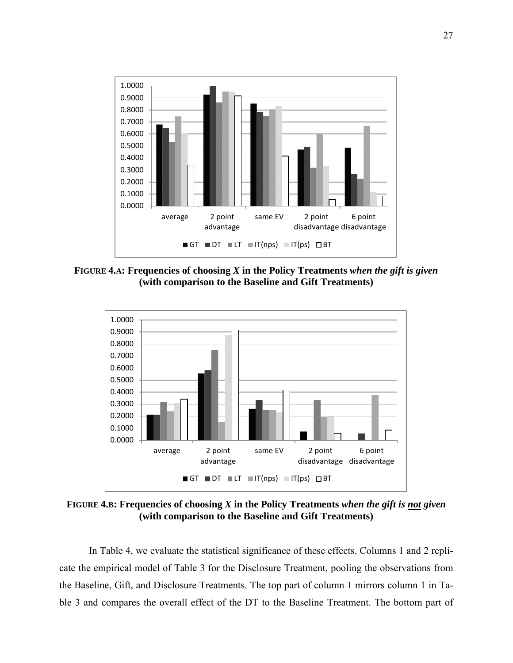

**FIGURE 4.A: Frequencies of choosing** *X* **in the Policy Treatments** *when the gift is given* **(with comparison to the Baseline and Gift Treatments)**



**FIGURE 4.B: Frequencies of choosing** *X* **in the Policy Treatments** *when the gift is not given* **(with comparison to the Baseline and Gift Treatments)**

In Table 4, we evaluate the statistical significance of these effects. Columns 1 and 2 replicate the empirical model of Table 3 for the Disclosure Treatment, pooling the observations from the Baseline, Gift, and Disclosure Treatments. The top part of column 1 mirrors column 1 in Table 3 and compares the overall effect of the DT to the Baseline Treatment. The bottom part of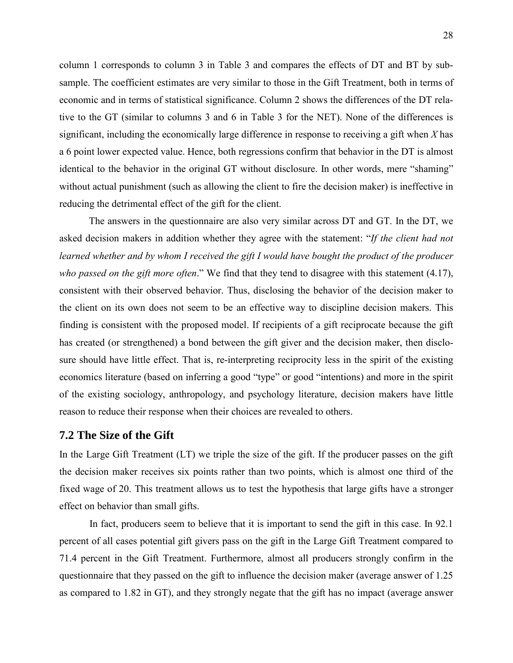column 1 corresponds to column 3 in Table 3 and compares the effects of DT and BT by subsample. The coefficient estimates are very similar to those in the Gift Treatment, both in terms of economic and in terms of statistical significance. Column 2 shows the differences of the DT relative to the GT (similar to columns 3 and 6 in Table 3 for the NET). None of the differences is significant, including the economically large difference in response to receiving a gift when *X* has a 6 point lower expected value. Hence, both regressions confirm that behavior in the DT is almost identical to the behavior in the original GT without disclosure. In other words, mere "shaming" without actual punishment (such as allowing the client to fire the decision maker) is ineffective in reducing the detrimental effect of the gift for the client.

The answers in the questionnaire are also very similar across DT and GT. In the DT, we asked decision makers in addition whether they agree with the statement: "*If the client had not learned whether and by whom I received the gift I would have bought the product of the producer who passed on the gift more often*." We find that they tend to disagree with this statement (4.17), consistent with their observed behavior. Thus, disclosing the behavior of the decision maker to the client on its own does not seem to be an effective way to discipline decision makers. This finding is consistent with the proposed model. If recipients of a gift reciprocate because the gift has created (or strengthened) a bond between the gift giver and the decision maker, then disclosure should have little effect. That is, re-interpreting reciprocity less in the spirit of the existing economics literature (based on inferring a good "type" or good "intentions) and more in the spirit of the existing sociology, anthropology, and psychology literature, decision makers have little reason to reduce their response when their choices are revealed to others.

### **7.2 The Size of the Gift**

In the Large Gift Treatment (LT) we triple the size of the gift. If the producer passes on the gift the decision maker receives six points rather than two points, which is almost one third of the fixed wage of 20. This treatment allows us to test the hypothesis that large gifts have a stronger effect on behavior than small gifts.

In fact, producers seem to believe that it is important to send the gift in this case. In 92.1 percent of all cases potential gift givers pass on the gift in the Large Gift Treatment compared to 71.4 percent in the Gift Treatment. Furthermore, almost all producers strongly confirm in the questionnaire that they passed on the gift to influence the decision maker (average answer of 1.25 as compared to 1.82 in GT), and they strongly negate that the gift has no impact (average answer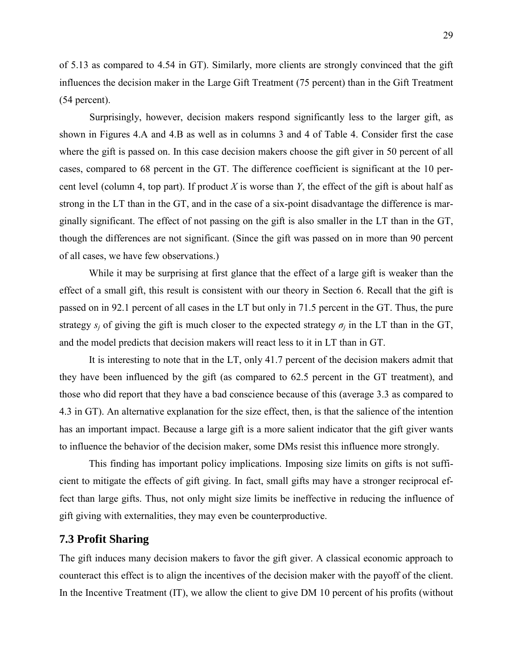of 5.13 as compared to 4.54 in GT). Similarly, more clients are strongly convinced that the gift influences the decision maker in the Large Gift Treatment (75 percent) than in the Gift Treatment (54 percent).

Surprisingly, however, decision makers respond significantly less to the larger gift, as shown in Figures 4.A and 4.B as well as in columns 3 and 4 of Table 4. Consider first the case where the gift is passed on. In this case decision makers choose the gift giver in 50 percent of all cases, compared to 68 percent in the GT. The difference coefficient is significant at the 10 percent level (column 4, top part). If product *X* is worse than *Y*, the effect of the gift is about half as strong in the LT than in the GT, and in the case of a six-point disadvantage the difference is marginally significant. The effect of not passing on the gift is also smaller in the LT than in the GT, though the differences are not significant. (Since the gift was passed on in more than 90 percent of all cases, we have few observations.)

While it may be surprising at first glance that the effect of a large gift is weaker than the effect of a small gift, this result is consistent with our theory in Section 6. Recall that the gift is passed on in 92.1 percent of all cases in the LT but only in 71.5 percent in the GT. Thus, the pure strategy  $s_i$  of giving the gift is much closer to the expected strategy  $\sigma_i$  in the LT than in the GT, and the model predicts that decision makers will react less to it in LT than in GT.

It is interesting to note that in the LT, only 41.7 percent of the decision makers admit that they have been influenced by the gift (as compared to 62.5 percent in the GT treatment), and those who did report that they have a bad conscience because of this (average 3.3 as compared to 4.3 in GT). An alternative explanation for the size effect, then, is that the salience of the intention has an important impact. Because a large gift is a more salient indicator that the gift giver wants to influence the behavior of the decision maker, some DMs resist this influence more strongly.

This finding has important policy implications. Imposing size limits on gifts is not sufficient to mitigate the effects of gift giving. In fact, small gifts may have a stronger reciprocal effect than large gifts. Thus, not only might size limits be ineffective in reducing the influence of gift giving with externalities, they may even be counterproductive.

### **7.3 Profit Sharing**

The gift induces many decision makers to favor the gift giver. A classical economic approach to counteract this effect is to align the incentives of the decision maker with the payoff of the client. In the Incentive Treatment (IT), we allow the client to give DM 10 percent of his profits (without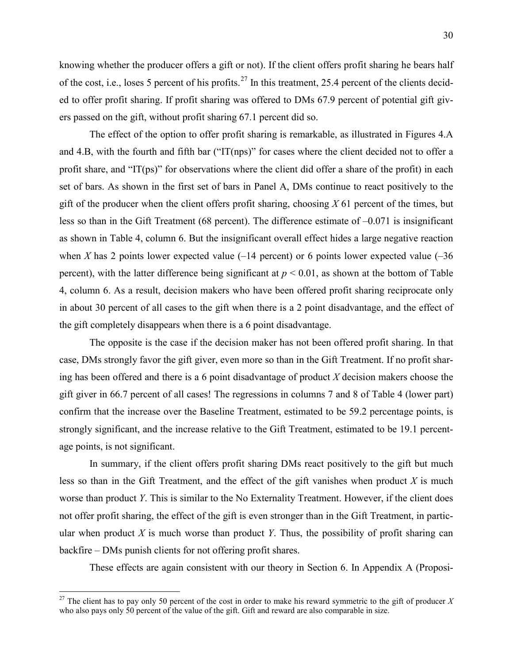knowing whether the producer offers a gift or not). If the client offers profit sharing he bears half of the cost, i.e., loses 5 percent of his profits.<sup>[27](#page-31-0)</sup> In this treatment, 25.4 percent of the clients decided to offer profit sharing. If profit sharing was offered to DMs 67.9 percent of potential gift givers passed on the gift, without profit sharing 67.1 percent did so.

The effect of the option to offer profit sharing is remarkable, as illustrated in Figures 4.A and 4.B, with the fourth and fifth bar ("IT(nps)" for cases where the client decided not to offer a profit share, and "IT(ps)" for observations where the client did offer a share of the profit) in each set of bars. As shown in the first set of bars in Panel A, DMs continue to react positively to the gift of the producer when the client offers profit sharing, choosing *X* 61 percent of the times, but less so than in the Gift Treatment (68 percent). The difference estimate of –0.071 is insignificant as shown in Table 4, column 6. But the insignificant overall effect hides a large negative reaction when *X* has 2 points lower expected value  $(-14$  percent) or 6 points lower expected value  $(-36$ percent), with the latter difference being significant at  $p \le 0.01$ , as shown at the bottom of Table 4, column 6. As a result, decision makers who have been offered profit sharing reciprocate only in about 30 percent of all cases to the gift when there is a 2 point disadvantage, and the effect of the gift completely disappears when there is a 6 point disadvantage.

The opposite is the case if the decision maker has not been offered profit sharing. In that case, DMs strongly favor the gift giver, even more so than in the Gift Treatment. If no profit sharing has been offered and there is a 6 point disadvantage of product *X* decision makers choose the gift giver in 66.7 percent of all cases! The regressions in columns 7 and 8 of Table 4 (lower part) confirm that the increase over the Baseline Treatment, estimated to be 59.2 percentage points, is strongly significant, and the increase relative to the Gift Treatment, estimated to be 19.1 percentage points, is not significant.

In summary, if the client offers profit sharing DMs react positively to the gift but much less so than in the Gift Treatment, and the effect of the gift vanishes when product *X* is much worse than product *Y*. This is similar to the No Externality Treatment. However, if the client does not offer profit sharing, the effect of the gift is even stronger than in the Gift Treatment, in particular when product *X* is much worse than product *Y*. Thus, the possibility of profit sharing can backfire – DMs punish clients for not offering profit shares.

These effects are again consistent with our theory in Section 6. In Appendix A (Proposi-

 $\overline{a}$ 

<span id="page-31-0"></span><sup>&</sup>lt;sup>27</sup> The client has to pay only 50 percent of the cost in order to make his reward symmetric to the gift of producer X who also pays only 50 percent of the value of the gift. Gift and reward are also comparable in size.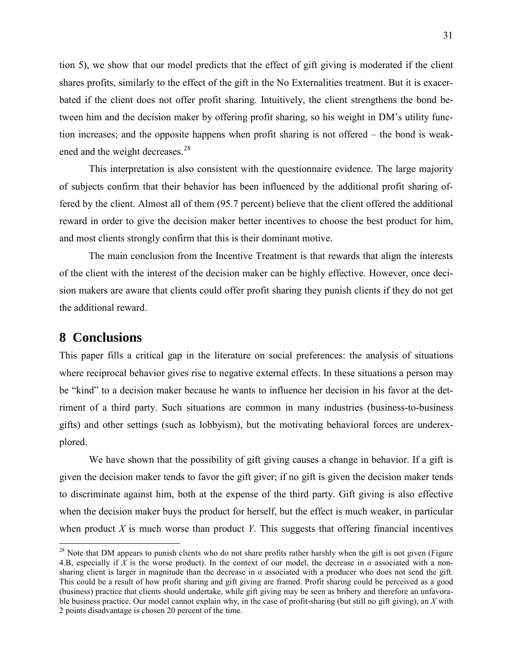tion 5), we show that our model predicts that the effect of gift giving is moderated if the client shares profits, similarly to the effect of the gift in the No Externalities treatment. But it is exacerbated if the client does not offer profit sharing. Intuitively, the client strengthens the bond between him and the decision maker by offering profit sharing, so his weight in DM's utility function increases; and the opposite happens when profit sharing is not offered – the bond is weakened and the weight decreases.<sup>28</sup>

This interpretation is also consistent with the questionnaire evidence. The large majority of subjects confirm that their behavior has been influenced by the additional profit sharing offered by the client. Almost all of them (95.7 percent) believe that the client offered the additional reward in order to give the decision maker better incentives to choose the best product for him, and most clients strongly confirm that this is their dominant motive.

The main conclusion from the Incentive Treatment is that rewards that align the interests of the client with the interest of the decision maker can be highly effective. However, once decision makers are aware that clients could offer profit sharing they punish clients if they do not get the additional reward.

## **8 Conclusions**

 $\overline{a}$ 

This paper fills a critical gap in the literature on social preferences: the analysis of situations where reciprocal behavior gives rise to negative external effects. In these situations a person may be "kind" to a decision maker because he wants to influence her decision in his favor at the detriment of a third party. Such situations are common in many industries (business-to-business gifts) and other settings (such as lobbyism), but the motivating behavioral forces are underexplored.

We have shown that the possibility of gift giving causes a change in behavior. If a gift is given the decision maker tends to favor the gift giver; if no gift is given the decision maker tends to discriminate against him, both at the expense of the third party. Gift giving is also effective when the decision maker buys the product for herself, but the effect is much weaker, in particular when product *X* is much worse than product *Y*. This suggests that offering financial incentives

<span id="page-32-0"></span> $28$  Note that DM appears to punish clients who do not share profits rather harshly when the gift is not given (Figure 4.B, especially if *X* is the worse product). In the context of our model, the decrease in *α* associated with a nonsharing client is larger in magnitude than the decrease in  $\alpha$  associated with a producer who does not send the gift. This could be a result of how profit sharing and gift giving are framed. Profit sharing could be perceived as a good (business) practice that clients should undertake, while gift giving may be seen as bribery and therefore an unfavorable business practice. Our model cannot explain why, in the case of profit-sharing (but still no gift giving), an *X* with 2 points disadvantage is chosen 20 percent of the time.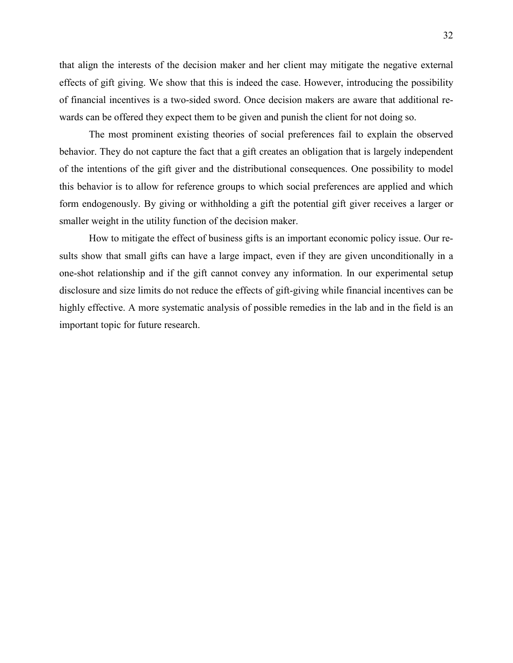that align the interests of the decision maker and her client may mitigate the negative external effects of gift giving. We show that this is indeed the case. However, introducing the possibility of financial incentives is a two-sided sword. Once decision makers are aware that additional rewards can be offered they expect them to be given and punish the client for not doing so.

The most prominent existing theories of social preferences fail to explain the observed behavior. They do not capture the fact that a gift creates an obligation that is largely independent of the intentions of the gift giver and the distributional consequences. One possibility to model this behavior is to allow for reference groups to which social preferences are applied and which form endogenously. By giving or withholding a gift the potential gift giver receives a larger or smaller weight in the utility function of the decision maker.

How to mitigate the effect of business gifts is an important economic policy issue. Our results show that small gifts can have a large impact, even if they are given unconditionally in a one-shot relationship and if the gift cannot convey any information. In our experimental setup disclosure and size limits do not reduce the effects of gift-giving while financial incentives can be highly effective. A more systematic analysis of possible remedies in the lab and in the field is an important topic for future research.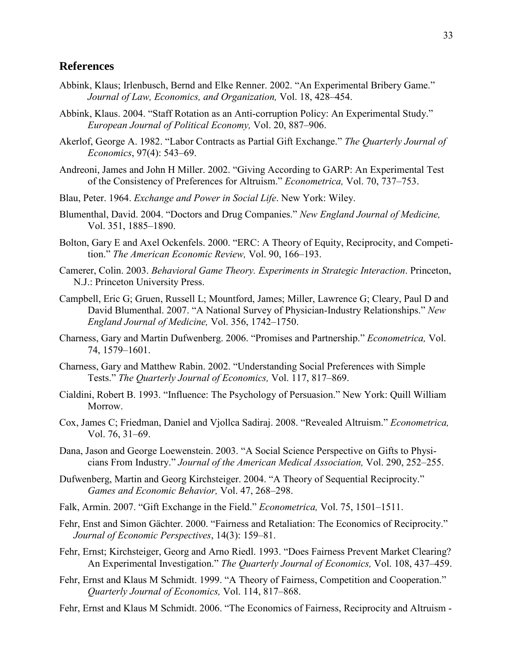### **References**

- Abbink, Klaus; Irlenbusch, Bernd and Elke Renner. 2002. "An Experimental Bribery Game." *Journal of Law, Economics, and Organization,* Vol. 18, 428–454.
- Abbink, Klaus. 2004. "Staff Rotation as an Anti-corruption Policy: An Experimental Study." *European Journal of Political Economy,* Vol. 20, 887–906.
- Akerlof, George A. 1982. "Labor Contracts as Partial Gift Exchange." *The Quarterly Journal of Economics*, 97(4): 543–69.
- Andreoni, James and John H Miller. 2002. "Giving According to GARP: An Experimental Test of the Consistency of Preferences for Altruism." *Econometrica,* Vol. 70, 737–753.
- Blau, Peter. 1964. *Exchange and Power in Social Life*. New York: Wiley.
- Blumenthal, David. 2004. "Doctors and Drug Companies." *New England Journal of Medicine,*  Vol. 351, 1885–1890.
- Bolton, Gary E and Axel Ockenfels. 2000. "ERC: A Theory of Equity, Reciprocity, and Competition." *The American Economic Review,* Vol. 90, 166–193.
- Camerer, Colin. 2003. *Behavioral Game Theory. Experiments in Strategic Interaction*. Princeton, N.J.: Princeton University Press.
- Campbell, Eric G; Gruen, Russell L; Mountford, James; Miller, Lawrence G; Cleary, Paul D and David Blumenthal. 2007. "A National Survey of Physician-Industry Relationships." *New England Journal of Medicine,* Vol. 356, 1742–1750.
- Charness, Gary and Martin Dufwenberg. 2006. "Promises and Partnership." *Econometrica,* Vol. 74, 1579–1601.
- Charness, Gary and Matthew Rabin. 2002. "Understanding Social Preferences with Simple Tests." *The Quarterly Journal of Economics,* Vol. 117, 817–869.
- Cialdini, Robert B. 1993. "Influence: The Psychology of Persuasion." New York: Quill William Morrow.
- Cox, James C; Friedman, Daniel and Vjollca Sadiraj. 2008. "Revealed Altruism." *Econometrica,*  Vol. 76, 31–69.
- Dana, Jason and George Loewenstein. 2003. "A Social Science Perspective on Gifts to Physicians From Industry." *Journal of the American Medical Association,* Vol. 290, 252–255.
- Dufwenberg, Martin and Georg Kirchsteiger. 2004. "A Theory of Sequential Reciprocity." *Games and Economic Behavior,* Vol. 47, 268–298.
- Falk, Armin. 2007. "Gift Exchange in the Field." *Econometrica,* Vol. 75, 1501–1511.
- Fehr, Enst and Simon Gächter. 2000. "Fairness and Retaliation: The Economics of Reciprocity." *Journal of Economic Perspectives*, 14(3): 159–81.
- Fehr, Ernst; Kirchsteiger, Georg and Arno Riedl. 1993. "Does Fairness Prevent Market Clearing? An Experimental Investigation." *The Quarterly Journal of Economics,* Vol. 108, 437–459.
- Fehr, Ernst and Klaus M Schmidt. 1999. "A Theory of Fairness, Competition and Cooperation." *Quarterly Journal of Economics,* Vol. 114, 817–868.
- Fehr, Ernst and Klaus M Schmidt. 2006. "The Economics of Fairness, Reciprocity and Altruism -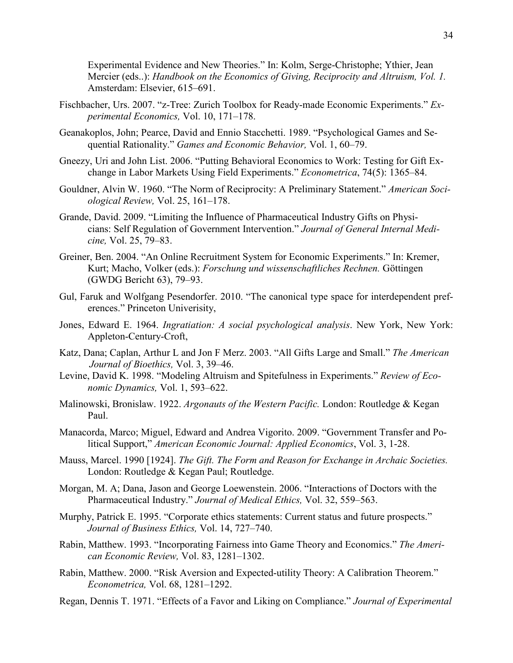Experimental Evidence and New Theories." In: Kolm, Serge-Christophe; Ythier, Jean Mercier (eds..): *Handbook on the Economics of Giving, Reciprocity and Altruism, Vol. 1.*  Amsterdam: Elsevier, 615–691.

- Fischbacher, Urs. 2007. "z-Tree: Zurich Toolbox for Ready-made Economic Experiments." *Experimental Economics,* Vol. 10, 171–178.
- Geanakoplos, John; Pearce, David and Ennio Stacchetti. 1989. "Psychological Games and Sequential Rationality." *Games and Economic Behavior,* Vol. 1, 60–79.
- Gneezy, Uri and John List. 2006. "Putting Behavioral Economics to Work: Testing for Gift Exchange in Labor Markets Using Field Experiments." *Econometrica*, 74(5): 1365–84.
- Gouldner, Alvin W. 1960. "The Norm of Reciprocity: A Preliminary Statement." *American Sociological Review,* Vol. 25, 161–178.
- Grande, David. 2009. "Limiting the Influence of Pharmaceutical Industry Gifts on Physicians: Self Regulation of Government Intervention." *Journal of General Internal Medicine,* Vol. 25, 79–83.
- Greiner, Ben. 2004. "An Online Recruitment System for Economic Experiments." In: Kremer, Kurt; Macho, Volker (eds.): *Forschung und wissenschaftliches Rechnen.* Göttingen (GWDG Bericht 63), 79–93.
- Gul, Faruk and Wolfgang Pesendorfer. 2010. "The canonical type space for interdependent preferences." Princeton Univerisity,
- Jones, Edward E. 1964. *Ingratiation: A social psychological analysis*. New York, New York: Appleton-Century-Croft,
- Katz, Dana; Caplan, Arthur L and Jon F Merz. 2003. "All Gifts Large and Small." *The American Journal of Bioethics,* Vol. 3, 39–46.
- Levine, David K. 1998. "Modeling Altruism and Spitefulness in Experiments." *Review of Economic Dynamics,* Vol. 1, 593–622.
- Malinowski, Bronislaw. 1922. *Argonauts of the Western Pacific.* London: Routledge & Kegan Paul.
- Manacorda, Marco; Miguel, Edward and Andrea Vigorito. 2009. "Government Transfer and Political Support," *American Economic Journal: Applied Economics*, Vol. 3, 1-28.
- Mauss, Marcel. 1990 [1924]. *The Gift. The Form and Reason for Exchange in Archaic Societies.* London: Routledge & Kegan Paul; Routledge.
- Morgan, M. A; Dana, Jason and George Loewenstein. 2006. "Interactions of Doctors with the Pharmaceutical Industry." *Journal of Medical Ethics,* Vol. 32, 559–563.
- Murphy, Patrick E. 1995. "Corporate ethics statements: Current status and future prospects." *Journal of Business Ethics,* Vol. 14, 727–740.
- Rabin, Matthew. 1993. "Incorporating Fairness into Game Theory and Economics." *The American Economic Review,* Vol. 83, 1281–1302.
- Rabin, Matthew. 2000. "Risk Aversion and Expected-utility Theory: A Calibration Theorem." *Econometrica,* Vol. 68, 1281–1292.
- Regan, Dennis T. 1971. "Effects of a Favor and Liking on Compliance." *Journal of Experimental*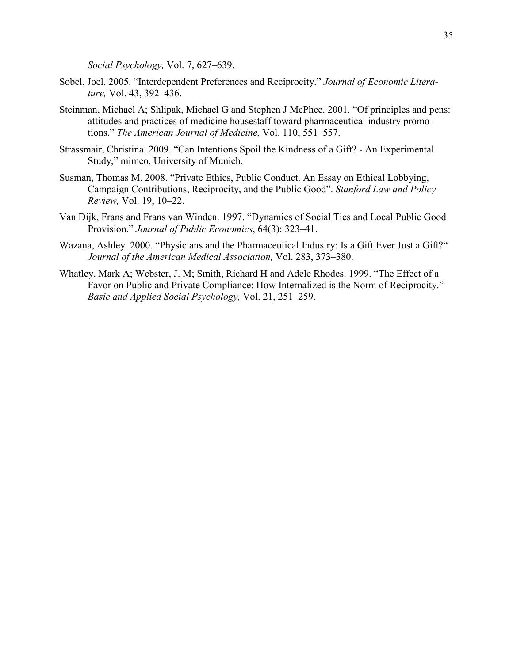*Social Psychology,* Vol. 7, 627–639.

- Sobel, Joel. 2005. "Interdependent Preferences and Reciprocity." *Journal of Economic Literature,* Vol. 43, 392–436.
- Steinman, Michael A; Shlipak, Michael G and Stephen J McPhee. 2001. "Of principles and pens: attitudes and practices of medicine housestaff toward pharmaceutical industry promotions." *The American Journal of Medicine,* Vol. 110, 551–557.
- Strassmair, Christina. 2009. "Can Intentions Spoil the Kindness of a Gift? An Experimental Study," mimeo, University of Munich.
- Susman, Thomas M. 2008. "Private Ethics, Public Conduct. An Essay on Ethical Lobbying, Campaign Contributions, Reciprocity, and the Public Good". *Stanford Law and Policy Review,* Vol. 19, 10–22.
- Van Dijk, Frans and Frans van Winden. 1997. "Dynamics of Social Ties and Local Public Good Provision." *Journal of Public Economics*, 64(3): 323–41.
- Wazana, Ashley. 2000. "Physicians and the Pharmaceutical Industry: Is a Gift Ever Just a Gift?" *Journal of the American Medical Association,* Vol. 283, 373–380.
- Whatley, Mark A; Webster, J. M; Smith, Richard H and Adele Rhodes. 1999. "The Effect of a Favor on Public and Private Compliance: How Internalized is the Norm of Reciprocity." *Basic and Applied Social Psychology,* Vol. 21, 251–259.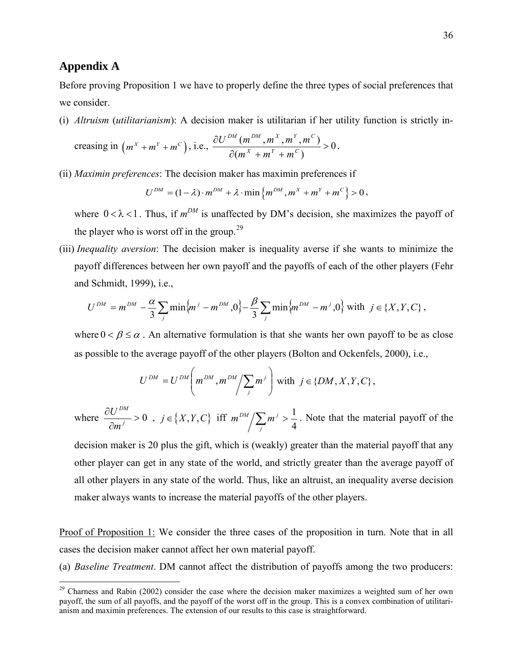### **Appendix A**

 $\overline{a}$ 

Before proving Proposition 1 we have to properly define the three types of social preferences that we consider.

(i) *Altruism* (*utilitarianism*): A decision maker is utilitarian if her utility function is strictly in-

creasing in 
$$
\left(m^X + m^Y + m^C\right)
$$
, i.e.,  $\frac{\partial U^{DM} \left(m^{DM}, m^X, m^Y, m^C\right)}{\partial (m^X + m^Y + m^C)} > 0$ .

(ii) *Maximin preferences*: The decision maker has maximin preferences if

$$
U^{DM} = (1 - \lambda) \cdot m^{DM} + \lambda \cdot \min \left\{ m^{DM}, m^{X} + m^{Y} + m^{C} \right\} > 0,
$$

where  $0 < \lambda < 1$ . Thus, if  $m^{DM}$  is unaffected by DM's decision, she maximizes the payoff of the player who is worst off in the group.<sup>[29](#page-37-0)</sup>

(iii) *Inequality aversion*: The decision maker is inequality averse if she wants to minimize the payoff differences between her own payoff and the payoffs of each of the other players (Fehr and Schmidt, 1999), i.e.,

$$
U^{DM} = m^{DM} - \frac{\alpha}{3} \sum_{j} \min \{ m^{j} - m^{DM}, 0 \} - \frac{\beta}{3} \sum_{j} \min \{ m^{DM} - m^{j}, 0 \} \text{ with } j \in \{X, Y, C\} \, ,
$$

where  $0 < \beta \leq \alpha$ . An alternative formulation is that she wants her own payoff to be as close as possible to the average payoff of the other players (Bolton and Ockenfels, 2000), i.e.,

$$
U^{DM} = U^{DM} \left( m^{DM}, m^{DM} / \sum_j m^j \right) \text{ with } j \in \{DM, X, Y, C\},\
$$

where  $\frac{OC}{2} > 0$ ∂ ∂ *j DM m*  $\frac{U^{DM}}{2} > 0$ ,  $j \in \{X, Y, C\}$  iff  $\sum_{j} m^{j} > \frac{1}{4}$  $m^{DM}/\sum m^{j} > \frac{1}{4}$ . Note that the material payoff of the

decision maker is 20 plus the gift, which is (weakly) greater than the material payoff that any other player can get in any state of the world, and strictly greater than the average payoff of all other players in any state of the world. Thus, like an altruist, an inequality averse decision maker always wants to increase the material payoffs of the other players.

Proof of Proposition 1: We consider the three cases of the proposition in turn. Note that in all cases the decision maker cannot affect her own material payoff.

(a) *Baseline Treatment*. DM cannot affect the distribution of payoffs among the two producers:

<span id="page-37-0"></span><sup>&</sup>lt;sup>29</sup> Charness and Rabin (2002) consider the case where the decision maker maximizes a weighted sum of her own payoff, the sum of all payoffs, and the payoff of the worst off in the group. This is a convex combination of utilitarianism and maximin preferences. The extension of our results to this case is straightforward.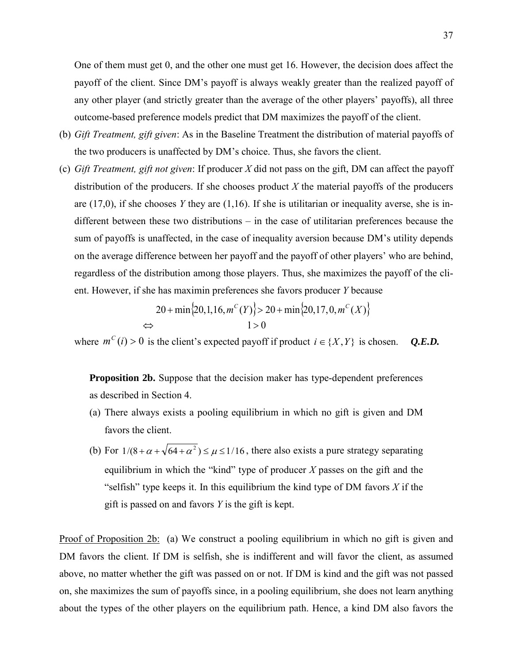One of them must get 0, and the other one must get 16. However, the decision does affect the payoff of the client. Since DM's payoff is always weakly greater than the realized payoff of any other player (and strictly greater than the average of the other players' payoffs), all three outcome-based preference models predict that DM maximizes the payoff of the client.

- (b) *Gift Treatment, gift given*: As in the Baseline Treatment the distribution of material payoffs of the two producers is unaffected by DM's choice. Thus, she favors the client.
- (c) *Gift Treatment, gift not given*: If producer *X* did not pass on the gift, DM can affect the payoff distribution of the producers. If she chooses product *X* the material payoffs of the producers are (17,0), if she chooses *Y* they are (1,16). If she is utilitarian or inequality averse, she is indifferent between these two distributions – in the case of utilitarian preferences because the sum of payoffs is unaffected, in the case of inequality aversion because DM's utility depends on the average difference between her payoff and the payoff of other players' who are behind, regardless of the distribution among those players. Thus, she maximizes the payoff of the client. However, if she has maximin preferences she favors producer *Y* because

$$
20 + \min\{20, 1, 16, m^{C}(Y)\} > 20 + \min\{20, 17, 0, m^{C}(X)\}\
$$
  
\n
$$
1 > 0
$$

where  $m^{c}(i) > 0$  is the client's expected payoff if product  $i \in \{X, Y\}$  is chosen. *Q.E.D.* 

**Proposition 2b.** Suppose that the decision maker has type-dependent preferences as described in Section 4.

- (a) There always exists a pooling equilibrium in which no gift is given and DM favors the client.
- (b) For  $1/(8+\alpha+\sqrt{64+\alpha^2}) \le \mu \le 1/16$ , there also exists a pure strategy separating equilibrium in which the "kind" type of producer *X* passes on the gift and the "selfish" type keeps it. In this equilibrium the kind type of DM favors  $X$  if the gift is passed on and favors *Y* is the gift is kept.

Proof of Proposition 2b: (a) We construct a pooling equilibrium in which no gift is given and DM favors the client. If DM is selfish, she is indifferent and will favor the client, as assumed above, no matter whether the gift was passed on or not. If DM is kind and the gift was not passed on, she maximizes the sum of payoffs since, in a pooling equilibrium, she does not learn anything about the types of the other players on the equilibrium path. Hence, a kind DM also favors the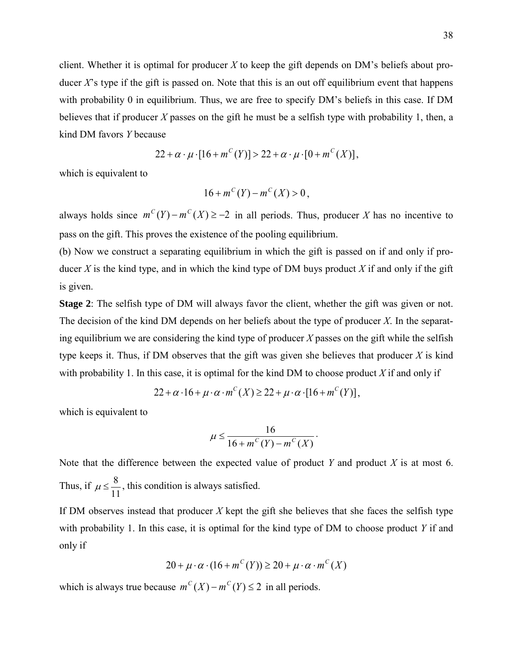client. Whether it is optimal for producer  $X$  to keep the gift depends on DM's beliefs about producer  $X$ 's type if the gift is passed on. Note that this is an out off equilibrium event that happens with probability 0 in equilibrium. Thus, we are free to specify DM's beliefs in this case. If DM believes that if producer *X* passes on the gift he must be a selfish type with probability 1, then, a kind DM favors *Y* because

$$
22 + \alpha \cdot \mu \cdot [16 + m^{C}(Y)] > 22 + \alpha \cdot \mu \cdot [0 + m^{C}(X)],
$$

which is equivalent to

$$
16 + m^{C}(Y) - m^{C}(X) > 0,
$$

always holds since  $m^C(Y) - m^C(X) \ge -2$  in all periods. Thus, producer *X* has no incentive to pass on the gift. This proves the existence of the pooling equilibrium.

(b) Now we construct a separating equilibrium in which the gift is passed on if and only if producer *X* is the kind type, and in which the kind type of DM buys product *X* if and only if the gift is given.

**Stage 2**: The selfish type of DM will always favor the client, whether the gift was given or not. The decision of the kind DM depends on her beliefs about the type of producer *X*. In the separating equilibrium we are considering the kind type of producer *X* passes on the gift while the selfish type keeps it. Thus, if DM observes that the gift was given she believes that producer *X* is kind with probability 1. In this case, it is optimal for the kind DM to choose product *X* if and only if

$$
22 + \alpha \cdot 16 + \mu \cdot \alpha \cdot m^{C}(X) \ge 22 + \mu \cdot \alpha \cdot [16 + m^{C}(Y)],
$$

which is equivalent to

$$
\mu \leq \frac{16}{16 + m^C(Y) - m^C(X)}.
$$

Note that the difference between the expected value of product *Y* and product *X* is at most 6. Thus, if  $\mu \le \frac{8}{11}$ , this condition is always satisfied.

If DM observes instead that producer *X* kept the gift she believes that she faces the selfish type with probability 1. In this case, it is optimal for the kind type of DM to choose product *Y* if and only if

$$
20 + \mu \cdot \alpha \cdot (16 + m^{C}(Y)) \ge 20 + \mu \cdot \alpha \cdot m^{C}(X)
$$

which is always true because  $m^C(X) - m^C(Y) \le 2$  in all periods.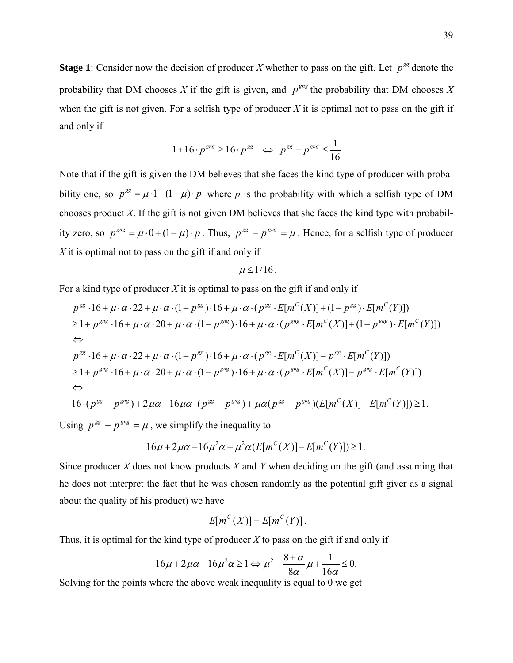**Stage 1**: Consider now the decision of producer *X* whether to pass on the gift. Let  $p^{gg}$  denote the probability that DM chooses *X* if the gift is given, and  $p^{grg}$  the probability that DM chooses *X* when the gift is not given. For a selfish type of producer  $X$  it is optimal not to pass on the gift if and only if

$$
1+16 \cdot p^{gng} \ge 16 \cdot p^{gg} \iff p^{gg} - p^{gng} \le \frac{1}{16}
$$

Note that if the gift is given the DM believes that she faces the kind type of producer with probability one, so  $p^{gg} = \mu \cdot 1 + (1 - \mu) \cdot p$  where p is the probability with which a selfish type of DM chooses product *X*. If the gift is not given DM believes that she faces the kind type with probability zero, so  $p^{gng} = \mu \cdot 0 + (1 - \mu) \cdot p$ . Thus,  $p^{gg} - p^{gng} = \mu$ . Hence, for a selfish type of producer *X* it is optimal not to pass on the gift if and only if

$$
\mu\leq 1/16\,.
$$

For a kind type of producer *X* it is optimal to pass on the gift if and only if

$$
p^{gg} \cdot 16 + \mu \cdot \alpha \cdot 22 + \mu \cdot \alpha \cdot (1 - p^{gg}) \cdot 16 + \mu \cdot \alpha \cdot (p^{gg} \cdot E[m^C(X)] + (1 - p^{gg}) \cdot E[m^C(Y)])
$$
  
\n
$$
\geq 1 + p^{gng} \cdot 16 + \mu \cdot \alpha \cdot 20 + \mu \cdot \alpha \cdot (1 - p^{gng}) \cdot 16 + \mu \cdot \alpha \cdot (p^{gng} \cdot E[m^C(X)] + (1 - p^{gng}) \cdot E[m^C(Y)])
$$
  
\n
$$
\Leftrightarrow
$$
  
\n
$$
p^{gg} \cdot 16 + \mu \cdot \alpha \cdot 22 + \mu \cdot \alpha \cdot (1 - p^{gg}) \cdot 16 + \mu \cdot \alpha \cdot (p^{gg} \cdot E[m^C(X)] - p^{gg} \cdot E[m^C(Y)])
$$
  
\n
$$
\geq 1 + p^{gng} \cdot 16 + \mu \cdot \alpha \cdot 20 + \mu \cdot \alpha \cdot (1 - p^{gng}) \cdot 16 + \mu \cdot \alpha \cdot (p^{gng} \cdot E[m^C(X)] - p^{gng} \cdot E[m^C(Y)])
$$
  
\n
$$
\Leftrightarrow
$$
  
\n
$$
16 \cdot (p^{gg} - p^{gng}) + 2\mu \alpha - 16\mu \alpha \cdot (p^{gg} - p^{gng}) + \mu \alpha (p^{gg} - p^{gng}) (E[m^C(X)] - E[m^C(Y)]) \geq 1.
$$

Using  $p^{gg} - p^{gng} = \mu$ , we simplify the inequality to

$$
16\mu + 2\mu\alpha - 16\mu^2\alpha + \mu^2\alpha(E[m^{c}(X)] - E[m^{c}(Y)]) \ge 1.
$$

Since producer *X* does not know products *X* and *Y* when deciding on the gift (and assuming that he does not interpret the fact that he was chosen randomly as the potential gift giver as a signal about the quality of his product) we have

$$
E[m^{C}(X)] = E[m^{C}(Y)].
$$

Thus, it is optimal for the kind type of producer *X* to pass on the gift if and only if

$$
16\mu + 2\mu\alpha - 16\mu^2\alpha \ge 1 \Leftrightarrow \mu^2 - \frac{8+\alpha}{8\alpha}\mu + \frac{1}{16\alpha} \le 0.
$$

Solving for the points where the above weak inequality is equal to 0 we get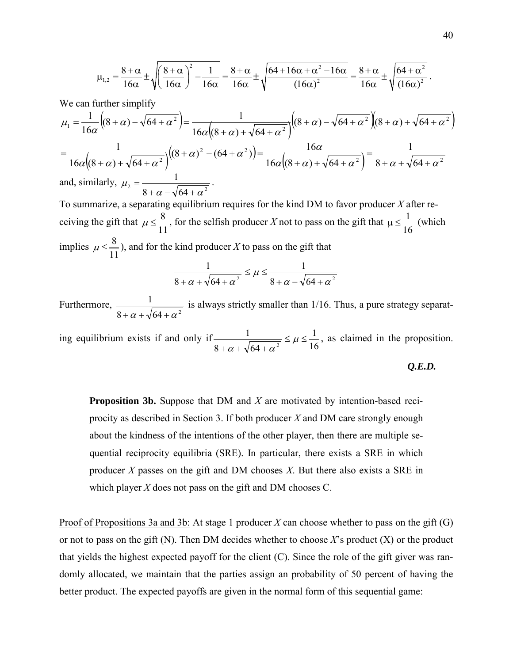$$
\mu_{1,2} = \frac{8+\alpha}{16\alpha} \pm \sqrt{\left(\frac{8+\alpha}{16\alpha}\right)^2 - \frac{1}{16\alpha}} = \frac{8+\alpha}{16\alpha} \pm \sqrt{\frac{64+16\alpha+\alpha^2-16\alpha}{(16\alpha)^2}} = \frac{8+\alpha}{16\alpha} \pm \sqrt{\frac{64+\alpha^2}{(16\alpha)^2}}.
$$

We can further simplify

$$
\mu_1 = \frac{1}{16\alpha} \Big( (8+\alpha) - \sqrt{64+\alpha^2} \Big) = \frac{1}{16\alpha \Big( (8+\alpha) + \sqrt{64+\alpha^2} \Big)} \Big( (8+\alpha) - \sqrt{64+\alpha^2} \Big) \Big( (8+\alpha) + \sqrt{64+\alpha^2} \Big)
$$
  
= 
$$
\frac{1}{16\alpha \Big( (8+\alpha) + \sqrt{64+\alpha^2} \Big)} \Big( (8+\alpha)^2 - (64+\alpha^2) \Big) = \frac{16\alpha}{16\alpha \Big( (8+\alpha) + \sqrt{64+\alpha^2} \Big)} = \frac{1}{8+\alpha + \sqrt{64+\alpha^2}}
$$
  
and, similarly,  $\mu_2 = \frac{1}{8+\alpha - \sqrt{64+\alpha^2}}$ .

To summarize, a separating equilibrium requires for the kind DM to favor producer *X* after receiving the gift that  $\mu \le \frac{8}{11}$ , for the selfish producer *X* not to pass on the gift that  $\mu \le \frac{1}{16}$  (which implies  $\mu \le \frac{8}{11}$ , and for the kind producer *X* to pass on the gift that

$$
\frac{1}{8+\alpha+\sqrt{64+\alpha^2}} \le \mu \le \frac{1}{8+\alpha-\sqrt{64+\alpha^2}}
$$

Furthermore,  $8+\alpha+\sqrt{64+\alpha^2}$ 1  $+\alpha+\sqrt{64}+\alpha$ is always strictly smaller than 1/16. Thus, a pure strategy separat-

ing equilibrium exists if and only if  $\frac{1}{8 + \alpha + \sqrt{64 + \alpha^2}} \leq \mu \leq \frac{1}{16}$  $8+\alpha+\sqrt{64}$ 1  $\frac{1}{2} \leq \mu \leq$  $+\alpha+\sqrt{64+\alpha^2} \leq \mu$  $\alpha$  +  $\gamma$  04 +  $\alpha$ , as claimed in the proposition.

*Q.E.D.*

**Proposition 3b.** Suppose that DM and *X* are motivated by intention-based reciprocity as described in Section 3. If both producer *X* and DM care strongly enough about the kindness of the intentions of the other player, then there are multiple sequential reciprocity equilibria (SRE). In particular, there exists a SRE in which producer *X* passes on the gift and DM chooses *X*. But there also exists a SRE in which player *X* does not pass on the gift and DM chooses C.

Proof of Propositions 3a and 3b: At stage 1 producer *X* can choose whether to pass on the gift (G) or not to pass on the gift (N). Then DM decides whether to choose *X*'s product (X) or the product that yields the highest expected payoff for the client (C). Since the role of the gift giver was randomly allocated, we maintain that the parties assign an probability of 50 percent of having the better product. The expected payoffs are given in the normal form of this sequential game: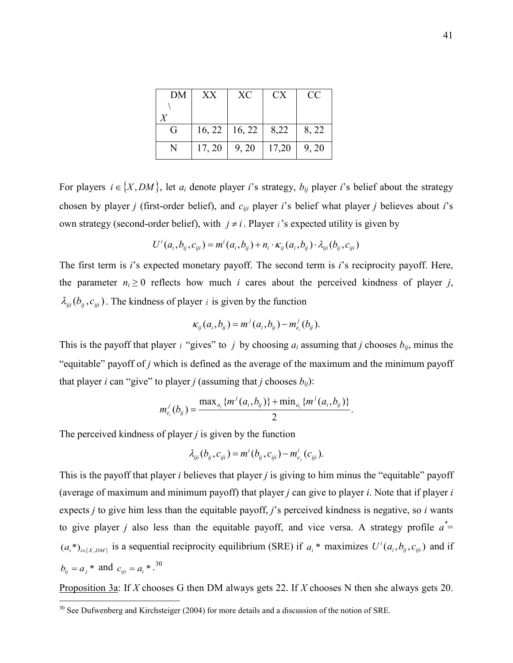| DM | XX     | XC                              | CX.   | CC    |
|----|--------|---------------------------------|-------|-------|
|    |        |                                 |       |       |
|    |        |                                 |       |       |
| G  |        | $16, 22 \mid 16, 22 \mid 8, 22$ |       | 8, 22 |
| N  | 17, 20 | 9, 20                           | 17,20 | 9, 20 |

For players  $i \in \{X, DM\}$ , let  $a_i$  denote player *i*'s strategy,  $b_{ij}$  player *i*'s belief about the strategy chosen by player *j* (first-order belief), and *ciji* player *i*'s belief what player *j* believes about *i*'s own strategy (second-order belief), with  $j \neq i$ . Player *i*'s expected utility is given by

$$
U^{i}(a_{i},b_{ij},c_{ij}) = m^{i}(a_{i},b_{ij}) + n_{i} \cdot \kappa_{ij}(a_{i},b_{ij}) \cdot \lambda_{iji}(b_{ij},c_{iji})
$$

The first term is *i*'s expected monetary payoff. The second term is *i*'s reciprocity payoff. Here, the parameter  $n_i \geq 0$  reflects how much *i* cares about the perceived kindness of player *j*,  $\lambda_{iji}$  ( $b_{ij}, c_{iji}$ ). The kindness of player *i* is given by the function

$$
\kappa_{ij}(a_i, b_{ij}) = m^j(a_i, b_{ij}) - m^j_{e_i}(b_{ij}).
$$

This is the payoff that player *i* "gives" to *j* by choosing  $a_i$  assuming that *j* chooses  $b_{ij}$ , minus the "equitable" payoff of *j* which is defined as the average of the maximum and the minimum payoff that player *i* can "give" to player *j* (assuming that *j* chooses  $b_{ij}$ ):

$$
m_{e_i}^j(b_{ij})=\frac{\max_{a_i}\{m^j(a_i,b_{ij})\}+\min_{a_i}\{m^j(a_i,b_{ij})\}}{2}.
$$

The perceived kindness of player *j* is given by the function

 $\overline{a}$ 

$$
\lambda_{iji}(b_{ij}, c_{iji}) = m^{i}(b_{ij}, c_{iji}) - m^{i}(c_{iji}).
$$

This is the payoff that player *i* believes that player *j* is giving to him minus the "equitable" payoff (average of maximum and minimum payoff) that player *j* can give to player *i*. Note that if player *i* expects *j* to give him less than the equitable payoff, *j*'s perceived kindness is negative, so *i* wants to give player *j* also less than the equitable payoff, and vice versa. A strategy profile  $a^*$  $(a_i^*)_{i \in \{X, DM\}}$  is a sequential reciprocity equilibrium (SRE) if  $a_i^*$  maximizes  $U^i(a_i, b_{ij}, c_{iji})$  and if  $b_{ij} = a_j * \text{ and } c_{iji} = a_i *$ .<sup>[30](#page-42-0)</sup>

Proposition 3a: If *X* chooses G then DM always gets 22. If *X* chooses N then she always gets 20.

<span id="page-42-0"></span> $30$  See Dufwenberg and Kirchsteiger (2004) for more details and a discussion of the notion of SRE.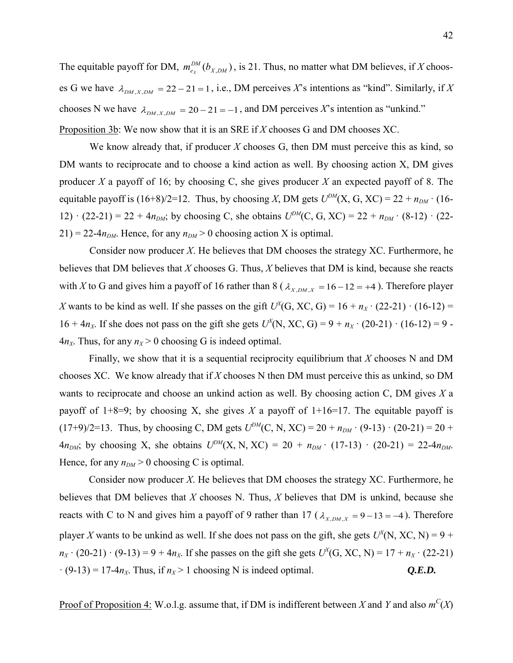The equitable payoff for DM,  $m_{e_X}^{DM}(b_{X,DM})$ , is 21. Thus, no matter what DM believes, if *X* chooses G we have  $\lambda_{DM,X,DM} = 22 - 21 = 1$ , i.e., DM perceives *X*'s intentions as "kind". Similarly, if *X* chooses N we have  $\lambda_{DM,X,DM} = 20 - 21 = -1$ , and DM perceives X's intention as "unkind." Proposition 3b: We now show that it is an SRE if *X* chooses G and DM chooses XC.

We know already that, if producer *X* chooses G, then DM must perceive this as kind, so DM wants to reciprocate and to choose a kind action as well. By choosing action X, DM gives producer *X* a payoff of 16; by choosing C, she gives producer *X* an expected payoff of 8. The equitable payoff is  $(16+8)/2=12$ . Thus, by choosing *X*, DM gets  $U^{DM}(X, G, XC) = 22 + n_{DM} \cdot (16-$ 12)  $\cdot$  (22-21) = 22 + 4 $n_{DM}$ ; by choosing C, she obtains  $U^{DM}(C, G, XC) = 22 + n_{DM} \cdot (8-12) \cdot (22 21$ ) = 22-4 $n<sub>DM</sub>$ . Hence, for any  $n<sub>DM</sub>$  > 0 choosing action X is optimal.

Consider now producer *X*. He believes that DM chooses the strategy XC. Furthermore, he believes that DM believes that *X* chooses G. Thus, *X* believes that DM is kind, because she reacts with *X* to G and gives him a payoff of 16 rather than 8 ( $\lambda_{X,DM,X} = 16 - 12 = +4$ ). Therefore player *X* wants to be kind as well. If she passes on the gift  $U^X$ (G, XC, G) = 16 +  $n_X \cdot (22-21) \cdot (16-12)$  = 16 + 4 $n_X$ . If she does not pass on the gift she gets  $U^X(N, XC, G) = 9 + n_X \cdot (20-21) \cdot (16-12) = 9$ .  $4n<sub>X</sub>$ . Thus, for any  $n<sub>X</sub> > 0$  choosing G is indeed optimal.

Finally, we show that it is a sequential reciprocity equilibrium that *X* chooses N and DM chooses XC. We know already that if *X* chooses N then DM must perceive this as unkind, so DM wants to reciprocate and choose an unkind action as well. By choosing action C, DM gives *X* a payoff of  $1+8=9$ ; by choosing X, she gives X a payoff of  $1+16=17$ . The equitable payoff is  $(17+9)/2=13$ . Thus, by choosing C, DM gets  $U^{DM}(C, N, XC) = 20 + n_{DM} \cdot (9-13) \cdot (20-21) = 20 +$  $4n_{DM}$ ; by choosing X, she obtains  $U^{DM}(X, N, XC) = 20 + n_{DM} \cdot (17-13) \cdot (20-21) = 22-4n_{DM}$ . Hence, for any  $n<sub>DM</sub> > 0$  choosing C is optimal.

Consider now producer *X*. He believes that DM chooses the strategy XC. Furthermore, he believes that DM believes that *X* chooses N. Thus, *X* believes that DM is unkind, because she reacts with C to N and gives him a payoff of 9 rather than 17 ( $\lambda_{X,DM,X} = 9 - 13 = -4$ ). Therefore player *X* wants to be unkind as well. If she does not pass on the gift, she gets  $U^X(N, XC, N) = 9 +$  $n_X \cdot (20-21) \cdot (9-13) = 9 + 4n_X$ . If she passes on the gift she gets  $U^X$ (G, XC, N) = 17 +  $n_X \cdot (22-21)$  $\cdot$  (9-13) = 17-4 $n_X$ . Thus, if  $n_X > 1$  choosing N is indeed optimal.  $Q.E.D.$ 

Proof of Proposition 4: W.o.l.g. assume that, if DM is indifferent between *X* and *Y* and also  $m^C(X)$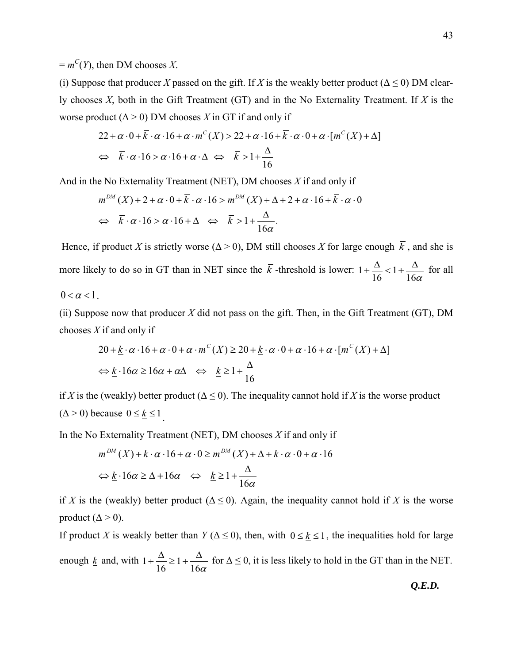$= m^C(Y)$ , then DM chooses *X*.

(i) Suppose that producer *X* passed on the gift. If *X* is the weakly better product ( $\Delta \le 0$ ) DM clearly chooses *X*, both in the Gift Treatment (GT) and in the No Externality Treatment. If *X* is the worse product  $(Δ > 0)$  DM chooses X in GT if and only if

$$
22 + \alpha \cdot 0 + \overline{k} \cdot \alpha \cdot 16 + \alpha \cdot m^{c}(X) > 22 + \alpha \cdot 16 + \overline{k} \cdot \alpha \cdot 0 + \alpha \cdot [m^{c}(X) + \Delta]
$$
  

$$
\Leftrightarrow \overline{k} \cdot \alpha \cdot 16 > \alpha \cdot 16 + \alpha \cdot \Delta \Leftrightarrow \overline{k} > 1 + \frac{\Delta}{16}
$$

And in the No Externality Treatment (NET), DM chooses *X* if and only if

$$
m^{DM}(X) + 2 + \alpha \cdot 0 + \overline{k} \cdot \alpha \cdot 16 > m^{DM}(X) + \Delta + 2 + \alpha \cdot 16 + \overline{k} \cdot \alpha \cdot 0
$$
  

$$
\Leftrightarrow \overline{k} \cdot \alpha \cdot 16 > \alpha \cdot 16 + \Delta \Leftrightarrow \overline{k} > 1 + \frac{\Delta}{16\alpha}.
$$

Hence, if product *X* is strictly worse ( $\Delta > 0$ ), DM still chooses *X* for large enough  $\overline{k}$ , and she is more likely to do so in GT than in NET since the  $\overline{k}$  -threshold is lower:  $16\alpha$ 1 16  $1 + \frac{\Delta}{16} < 1 + \frac{\Delta}{16}$  for all  $0 < \alpha < 1$ .

(ii) Suppose now that producer *X* did not pass on the gift. Then, in the Gift Treatment (GT), DM chooses *X* if and only if

$$
20 + \underline{k} \cdot \alpha \cdot 16 + \alpha \cdot 0 + \alpha \cdot m^{C}(X) \ge 20 + \underline{k} \cdot \alpha \cdot 0 + \alpha \cdot 16 + \alpha \cdot [m^{C}(X) + \Delta]
$$
  

$$
\Leftrightarrow \underline{k} \cdot 16\alpha \ge 16\alpha + \alpha \Delta \iff \underline{k} \ge 1 + \frac{\Delta}{16}
$$

if *X* is the (weakly) better product ( $\Delta \le 0$ ). The inequality cannot hold if *X* is the worse product  $(\Delta > 0)$  because  $0 \leq \underline{k} \leq 1$ 

In the No Externality Treatment (NET), DM chooses *X* if and only if

$$
m^{DM}(X) + \underline{k} \cdot \alpha \cdot 16 + \alpha \cdot 0 \ge m^{DM}(X) + \Delta + \underline{k} \cdot \alpha \cdot 0 + \alpha \cdot 16
$$
  

$$
\Leftrightarrow \underline{k} \cdot 16\alpha \ge \Delta + 16\alpha \iff \underline{k} \ge 1 + \frac{\Delta}{16\alpha}
$$

if *X* is the (weakly) better product ( $\Delta \le 0$ ). Again, the inequality cannot hold if *X* is the worse product  $(\Delta > 0)$ .

If product *X* is weakly better than *Y* ( $\Delta \le 0$ ), then, with  $0 \le k \le 1$ , the inequalities hold for large enough <u>k</u> and, with  $1 + \frac{1}{16} \ge 1 + \frac{1}{16\alpha}$ 16  $1 + \frac{\Delta}{\Delta} \ge 1 + \frac{\Delta}{\Delta}$  for  $\Delta \le 0$ , it is less likely to hold in the GT than in the NET.

*Q.E.D.*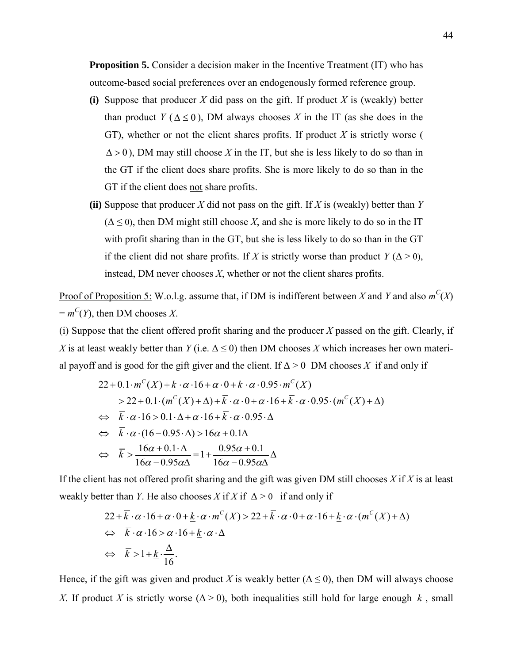**Proposition 5.** Consider a decision maker in the Incentive Treatment (IT) who has outcome-based social preferences over an endogenously formed reference group.

- **(i)** Suppose that producer *X* did pass on the gift. If product *X* is (weakly) better than product *Y* ( $\Delta \le 0$ ), DM always chooses *X* in the IT (as she does in the GT), whether or not the client shares profits. If product *X* is strictly worse (  $\Delta > 0$ ), DM may still choose X in the IT, but she is less likely to do so than in the GT if the client does share profits. She is more likely to do so than in the GT if the client does not share profits.
- **(ii)** Suppose that producer *X* did not pass on the gift. If *X* is (weakly) better than *Y*  $(\Delta \leq 0)$ , then DM might still choose X, and she is more likely to do so in the IT with profit sharing than in the GT, but she is less likely to do so than in the GT if the client did not share profits. If *X* is strictly worse than product  $Y(\Delta > 0)$ , instead, DM never chooses *X*, whether or not the client shares profits.

Proof of Proposition 5: W.o.l.g. assume that, if DM is indifferent between *X* and *Y* and also  $m^C(X)$  $= m^C(Y)$ , then DM chooses *X*.

(i) Suppose that the client offered profit sharing and the producer *X* passed on the gift. Clearly, if *X* is at least weakly better than *Y* (i.e.  $\Delta \le 0$ ) then DM chooses *X* which increases her own material payoff and is good for the gift giver and the client. If  $\Delta > 0$  DM chooses X if and only if

$$
22 + 0.1 \cdot m^{C}(X) + \overline{k} \cdot \alpha \cdot 16 + \alpha \cdot 0 + \overline{k} \cdot \alpha \cdot 0.95 \cdot m^{C}(X)
$$
  
\n
$$
> 22 + 0.1 \cdot (m^{C}(X) + \Delta) + \overline{k} \cdot \alpha \cdot 0 + \alpha \cdot 16 + \overline{k} \cdot \alpha \cdot 0.95 \cdot (m^{C}(X) + \Delta)
$$
  
\n
$$
\Leftrightarrow \overline{k} \cdot \alpha \cdot 16 > 0.1 \cdot \Delta + \alpha \cdot 16 + \overline{k} \cdot \alpha \cdot 0.95 \cdot \Delta
$$
  
\n
$$
\Leftrightarrow \overline{k} \cdot \alpha \cdot (16 - 0.95 \cdot \Delta) > 16\alpha + 0.1\Delta
$$
  
\n
$$
\Leftrightarrow \overline{k} > \frac{16\alpha + 0.1 \cdot \Delta}{16\alpha - 0.95\alpha\Delta} = 1 + \frac{0.95\alpha + 0.1}{16\alpha - 0.95\alpha\Delta} \Delta
$$

If the client has not offered profit sharing and the gift was given DM still chooses *X* if *X* is at least weakly better than *Y*. He also chooses *X* if *X* if  $\Delta > 0$  if and only if

$$
22 + \overline{k} \cdot \alpha \cdot 16 + \alpha \cdot 0 + \underline{k} \cdot \alpha \cdot m^{c}(X) > 22 + \overline{k} \cdot \alpha \cdot 0 + \alpha \cdot 16 + \underline{k} \cdot \alpha \cdot (m^{c}(X) + \Delta)
$$
  
\n
$$
\Leftrightarrow \overline{k} \cdot \alpha \cdot 16 > \alpha \cdot 16 + \underline{k} \cdot \alpha \cdot \Delta
$$
  
\n
$$
\Leftrightarrow \overline{k} > 1 + \underline{k} \cdot \frac{\Delta}{16}.
$$

Hence, if the gift was given and product *X* is weakly better ( $\Delta \le 0$ ), then DM will always choose *X*. If product *X* is strictly worse ( $\Delta > 0$ ), both inequalities still hold for large enough  $\overline{k}$ , small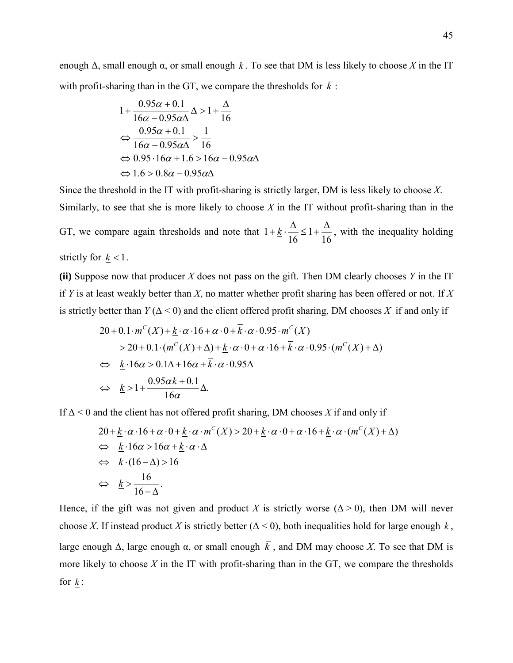enough  $\Delta$ , small enough  $\alpha$ , or small enough  $k$ . To see that DM is less likely to choose *X* in the IT with profit-sharing than in the GT, we compare the thresholds for  $\overline{k}$ :

$$
1 + \frac{0.95\alpha + 0.1}{16\alpha - 0.95\alpha\Delta} \Delta > 1 + \frac{\Delta}{16}
$$
  

$$
\Leftrightarrow \frac{0.95\alpha + 0.1}{16\alpha - 0.95\alpha\Delta} > \frac{1}{16}
$$
  

$$
\Leftrightarrow 0.95 \cdot 16\alpha + 1.6 > 16\alpha - 0.95\alpha\Delta
$$
  

$$
\Leftrightarrow 1.6 > 0.8\alpha - 0.95\alpha\Delta
$$

Since the threshold in the IT with profit-sharing is strictly larger, DM is less likely to choose *X*. Similarly, to see that she is more likely to choose *X* in the IT without profit-sharing than in the GT, we compare again thresholds and note that 16 1 16  $1 + k \cdot \frac{\Delta}{\Delta} \leq 1 + \frac{\Delta}{\Delta}$ , with the inequality holding strictly for  $k < 1$ .

**(ii)** Suppose now that producer *X* does not pass on the gift. Then DM clearly chooses *Y* in the IT if *Y* is at least weakly better than *X*, no matter whether profit sharing has been offered or not. If *X* is strictly better than  $Y(\Delta < 0)$  and the client offered profit sharing, DM chooses X if and only if

$$
20 + 0.1 \cdot m^{C}(X) + \underline{k} \cdot \alpha \cdot 16 + \alpha \cdot 0 + \overline{k} \cdot \alpha \cdot 0.95 \cdot m^{C}(X)
$$
  
\n
$$
> 20 + 0.1 \cdot (m^{C}(X) + \Delta) + \underline{k} \cdot \alpha \cdot 0 + \alpha \cdot 16 + \overline{k} \cdot \alpha \cdot 0.95 \cdot (m^{C}(X) + \Delta)
$$
  
\n
$$
\Leftrightarrow \underline{k} \cdot 16\alpha > 0.1\Delta + 16\alpha + \overline{k} \cdot \alpha \cdot 0.95\Delta
$$
  
\n
$$
\Leftrightarrow \underline{k} > 1 + \frac{0.95\alpha \overline{k} + 0.1}{16\alpha} \Delta.
$$

If Δ < 0 and the client has not offered profit sharing, DM chooses *X* if and only if

$$
20 + \underline{k} \cdot \alpha \cdot 16 + \alpha \cdot 0 + \underline{k} \cdot \alpha \cdot m^{C}(X) > 20 + \underline{k} \cdot \alpha \cdot 0 + \alpha \cdot 16 + \underline{k} \cdot \alpha \cdot (m^{C}(X) + \Delta)
$$
  
\n
$$
\Leftrightarrow \underline{k} \cdot 16\alpha > 16\alpha + \underline{k} \cdot \alpha \cdot \Delta
$$
  
\n
$$
\Leftrightarrow \underline{k} \cdot (16 - \Delta) > 16
$$
  
\n
$$
\Leftrightarrow \underline{k} > \frac{16}{16 - \Delta}.
$$

Hence, if the gift was not given and product *X* is strictly worse ( $\Delta > 0$ ), then DM will never choose *X*. If instead product *X* is strictly better ( $\Delta$  < 0), both inequalities hold for large enough *k*, large enough Δ, large enough  $\alpha$ , or small enough  $\overline{k}$ , and DM may choose X. To see that DM is more likely to choose *X* in the IT with profit-sharing than in the GT, we compare the thresholds for  $k$  :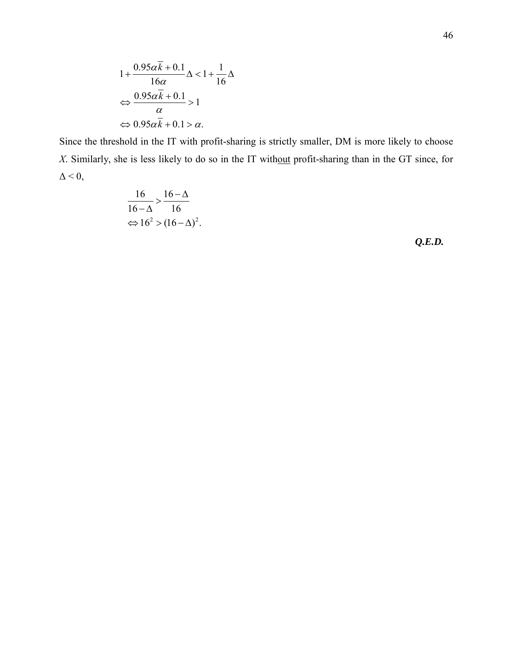$$
1 + \frac{0.95\alpha\overline{k} + 0.1}{16\alpha} \Delta < 1 + \frac{1}{16} \Delta
$$
  

$$
\Leftrightarrow \frac{0.95\alpha\overline{k} + 0.1}{\alpha} > 1
$$
  

$$
\Leftrightarrow 0.95\alpha\overline{k} + 0.1 > \alpha.
$$

Since the threshold in the IT with profit-sharing is strictly smaller, DM is more likely to choose *X*. Similarly, she is less likely to do so in the IT without profit-sharing than in the GT since, for  $\Delta \leq 0$ ,

$$
\frac{16}{16 - \Delta} > \frac{16 - \Delta}{16}
$$

$$
\Leftrightarrow 16^2 > (16 - \Delta)^2.
$$

*Q.E.D.*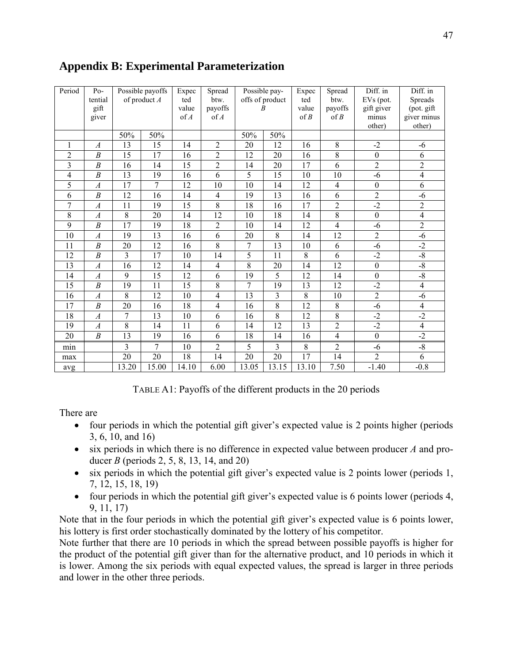| Period          | $Po-$            | Possible payoffs |                 | Expec           | Spread                  |                 | Possible pay-   |                 | Spread          | Diff. in         | Diff. in       |
|-----------------|------------------|------------------|-----------------|-----------------|-------------------------|-----------------|-----------------|-----------------|-----------------|------------------|----------------|
|                 | tential          |                  | of product A    | ted             | btw.                    |                 | offs of product | ted             | btw.            | EVs (pot.        | Spreads        |
|                 | gift             |                  |                 | value           | payoffs                 | R               |                 | value<br>of B   | payoffs         | gift giver       | (pot. gift     |
|                 | giver            |                  |                 | of A            | of A                    |                 |                 |                 | of B            | minus            | giver minus    |
|                 |                  |                  |                 |                 |                         |                 |                 |                 |                 | other)           | other)         |
|                 |                  | 50%              | 50%             |                 |                         | 50%             | 50%             |                 |                 |                  |                |
| 1               | $\boldsymbol{A}$ | 13               | 15              | 14              | $\overline{2}$          | 20              | 12              | 16              | $8\,$           | $-2$             | -6             |
| $\overline{2}$  | $\boldsymbol{B}$ | $\overline{15}$  | 17              | 16              | $\overline{2}$          | 12              | 20              | 16              | $\overline{8}$  | $\overline{0}$   | 6              |
| 3               | $\overline{B}$   | 16               | 14              | $\overline{15}$ | $\overline{2}$          | 14              | $\overline{20}$ | $\overline{17}$ | 6               | $\overline{2}$   | $\overline{2}$ |
| $\overline{4}$  | $\boldsymbol{B}$ | 13               | 19              | 16              | 6                       | 5               | 15              | 10              | 10              | $-6$             | $\overline{4}$ |
| 5               | $\boldsymbol{A}$ | 17               | $\overline{7}$  | 12              | 10                      | 10              | 14              | 12              | $\overline{4}$  | $\boldsymbol{0}$ | 6              |
| 6               | $\boldsymbol{B}$ | 12               | 16              | 14              | 4                       | 19              | 13              | 16              | 6               | $\overline{2}$   | $-6$           |
| 7               | $\overline{A}$   | 11               | 19              | 15              | $\overline{8}$          | 18              | 16              | 17              | $\overline{2}$  | $-2$             | $\overline{c}$ |
| 8               | $\boldsymbol{A}$ | $\overline{8}$   | $\overline{20}$ | 14              | $\overline{12}$         | 10              | 18              | 14              | $\overline{8}$  | $\boldsymbol{0}$ | $\overline{4}$ |
| 9               | $\boldsymbol{B}$ | $\overline{17}$  | 19              | 18              | $\overline{2}$          | 10              | 14              | 12              | $\overline{4}$  | $-6$             | $\overline{2}$ |
| 10              | $\boldsymbol{A}$ | 19               | 13              | 16              | 6                       | 20              | $\overline{8}$  | 14              | 12              | $\overline{2}$   | $-6$           |
| 11              | $\boldsymbol{B}$ | 20               | 12              | 16              | $\overline{8}$          | 7               | 13              | $10\,$          | 6               | $-6$             | $-2$           |
| 12              | $\boldsymbol{B}$ | 3                | 17              | 10              | 14                      | 5               | 11              | $\overline{8}$  | 6               | $-2$             | $-8$           |
| $\overline{13}$ | $\overline{A}$   | 16               | 12              | 14              | $\overline{\mathbf{4}}$ | $\overline{8}$  | 20              | $\overline{14}$ | $\overline{12}$ | $\overline{0}$   | $-\sqrt{8}$    |
| 14              | $\boldsymbol{A}$ | 9                | 15              | 12              | 6                       | 19              | 5               | 12              | 14              | $\mathbf{0}$     | $-8$           |
| 15              | $\boldsymbol{B}$ | 19               | 11              | 15              | $\overline{8}$          | $\overline{7}$  | 19              | 13              | 12              | $-2$             | $\overline{4}$ |
| $\overline{16}$ | $\overline{A}$   | $\overline{8}$   | $\overline{12}$ | $\overline{10}$ | $\overline{4}$          | $\overline{13}$ | $\overline{3}$  | $\overline{8}$  | 10              | $\overline{2}$   | $-6$           |
| 17              | $\boldsymbol{B}$ | 20               | 16              | 18              | $\overline{\mathbf{4}}$ | 16              | $\overline{8}$  | 12              | 8               | $-6$             | $\overline{4}$ |
| 18              | $\boldsymbol{A}$ | $\overline{7}$   | 13              | 10              | 6                       | 16              | $\overline{8}$  | 12              | 8               | $-2$             | $-2$           |
| 19              | $\overline{A}$   | $\overline{8}$   | 14              | 11              | 6                       | 14              | 12              | 13              | $\overline{2}$  | $\overline{2}$   | $\overline{4}$ |
| 20              | $\boldsymbol{B}$ | 13               | 19              | 16              | 6                       | 18              | 14              | 16              | $\overline{4}$  | $\overline{0}$   | $-2$           |
| min             |                  | 3                | 7               | 10              | $\overline{2}$          | 5               | $\overline{3}$  | $8\,$           | $\overline{2}$  | $-6$             | $-8$           |
| max             |                  | 20               | 20              | 18              | 14                      | 20              | 20              | 17              | 14              | $\overline{2}$   | 6              |
| avg             |                  | 13.20            | 15.00           | 14.10           | 6.00                    | 13.05           | 13.15           | 13.10           | 7.50            | $-1.40$          | $-0.8$         |

## **Appendix B: Experimental Parameterization**

TABLE A1: Payoffs of the different products in the 20 periods

There are

- four periods in which the potential gift giver's expected value is 2 points higher (periods 3, 6, 10, and 16)
- six periods in which there is no difference in expected value between producer *A* and producer *B* (periods 2, 5, 8, 13, 14, and 20)
- six periods in which the potential gift giver's expected value is 2 points lower (periods 1, 7, 12, 15, 18, 19)
- four periods in which the potential gift giver's expected value is 6 points lower (periods 4, 9, 11, 17)

Note that in the four periods in which the potential gift giver's expected value is 6 points lower, his lottery is first order stochastically dominated by the lottery of his competitor.

Note further that there are 10 periods in which the spread between possible payoffs is higher for the product of the potential gift giver than for the alternative product, and 10 periods in which it is lower. Among the six periods with equal expected values, the spread is larger in three periods and lower in the other three periods.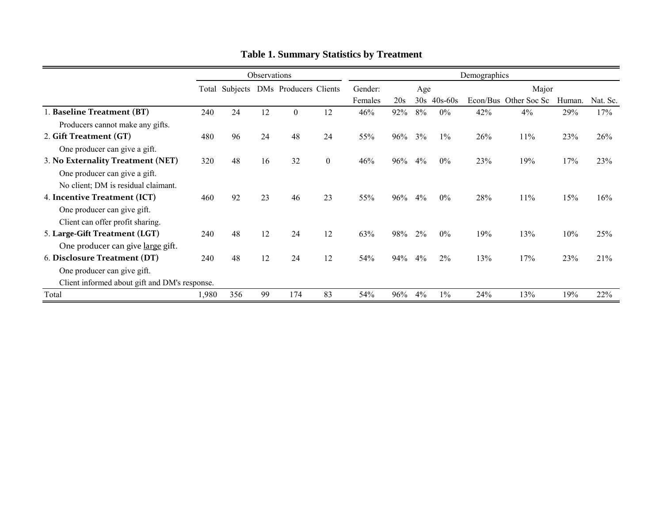|                                               | Observations |                                      |    |          |          | Demographics |     |     |           |     |                       |        |          |
|-----------------------------------------------|--------------|--------------------------------------|----|----------|----------|--------------|-----|-----|-----------|-----|-----------------------|--------|----------|
|                                               |              | Total Subjects DMs Producers Clients |    |          | Gender:  |              | Age |     | Major     |     |                       |        |          |
|                                               |              |                                      |    |          |          | Females      | 20s | 30s | $40s-60s$ |     | Econ/Bus Other Soc Sc | Human. | Nat. Sc. |
| 1. Baseline Treatment (BT)                    | 240          | 24                                   | 12 | $\theta$ | 12       | 46%          | 92% | 8%  | $0\%$     | 42% | 4%                    | 29%    | 17%      |
| Producers cannot make any gifts.              |              |                                      |    |          |          |              |     |     |           |     |                       |        |          |
| 2. Gift Treatment (GT)                        | 480          | 96                                   | 24 | 48       | 24       | 55%          | 96% | 3%  | $1\%$     | 26% | 11%                   | 23%    | 26%      |
| One producer can give a gift.                 |              |                                      |    |          |          |              |     |     |           |     |                       |        |          |
| 3. No Externality Treatment (NET)             | 320          | 48                                   | 16 | 32       | $\theta$ | 46%          | 96% | 4%  | $0\%$     | 23% | 19%                   | 17%    | 23%      |
| One producer can give a gift.                 |              |                                      |    |          |          |              |     |     |           |     |                       |        |          |
| No client; DM is residual claimant.           |              |                                      |    |          |          |              |     |     |           |     |                       |        |          |
| 4. Incentive Treatment (ICT)                  | 460          | 92                                   | 23 | 46       | 23       | 55%          | 96% | 4%  | $0\%$     | 28% | 11%                   | 15%    | 16%      |
| One producer can give gift.                   |              |                                      |    |          |          |              |     |     |           |     |                       |        |          |
| Client can offer profit sharing.              |              |                                      |    |          |          |              |     |     |           |     |                       |        |          |
| 5. Large-Gift Treatment (LGT)                 | 240          | 48                                   | 12 | 24       | 12       | 63%          | 98% | 2%  | $0\%$     | 19% | 13%                   | 10%    | 25%      |
| One producer can give large gift.             |              |                                      |    |          |          |              |     |     |           |     |                       |        |          |
| 6. Disclosure Treatment (DT)                  | 240          | 48                                   | 12 | 24       | 12       | 54%          | 94% | 4%  | $2\%$     | 13% | 17%                   | 23%    | 21%      |
| One producer can give gift.                   |              |                                      |    |          |          |              |     |     |           |     |                       |        |          |
| Client informed about gift and DM's response. |              |                                      |    |          |          |              |     |     |           |     |                       |        |          |
| Total                                         | 1,980        | 356                                  | 99 | 174      | 83       | 54%          | 96% | 4%  | $1\%$     | 24% | 13%                   | 19%    | 22%      |

**Table 1. Summary Statistics by Treatment**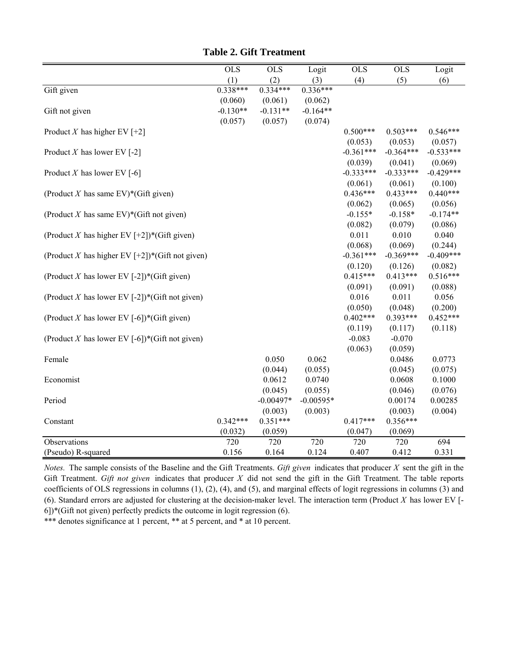|                                                    | $\overline{OLS}$ | <b>OLS</b>  | Logit       | <b>OLS</b>  | $\overline{OLS}$ | Logit       |
|----------------------------------------------------|------------------|-------------|-------------|-------------|------------------|-------------|
|                                                    | (1)              | (2)         | (3)         | (4)         | (5)              | (6)         |
| Gift given                                         | $0.338***$       | $0.334***$  | $0.336***$  |             |                  |             |
|                                                    | (0.060)          | (0.061)     | (0.062)     |             |                  |             |
| Gift not given                                     | $-0.130**$       | $-0.131**$  | $-0.164**$  |             |                  |             |
|                                                    | (0.057)          | (0.057)     | (0.074)     |             |                  |             |
| Product X has higher EV $[+2]$                     |                  |             |             | $0.500***$  | $0.503***$       | $0.546***$  |
|                                                    |                  |             |             | (0.053)     | (0.053)          | (0.057)     |
| Product X has lower EV $[-2]$                      |                  |             |             | $-0.361***$ | $-0.364***$      | $-0.533***$ |
|                                                    |                  |             |             | (0.039)     | (0.041)          | (0.069)     |
| Product X has lower EV $[-6]$                      |                  |             |             | $-0.333***$ | $-0.333***$      | $-0.429***$ |
|                                                    |                  |             |             | (0.061)     | (0.061)          | (0.100)     |
| (Product X has same EV)*(Gift given)               |                  |             |             | $0.436***$  | $0.433***$       | $0.440***$  |
|                                                    |                  |             |             | (0.062)     | (0.065)          | (0.056)     |
| (Product X has same EV)*(Gift not given)           |                  |             |             | $-0.155*$   | $-0.158*$        | $-0.174**$  |
|                                                    |                  |             |             | (0.082)     | (0.079)          | (0.086)     |
| (Product X has higher EV [+2])*(Gift given)        |                  |             |             | 0.011       | 0.010            | 0.040       |
|                                                    |                  |             |             | (0.068)     | (0.069)          | (0.244)     |
| (Product X has higher EV $[+2]$ )*(Gift not given) |                  |             |             | $-0.361***$ | $-0.369***$      | $-0.409***$ |
|                                                    |                  |             |             | (0.120)     | (0.126)          | (0.082)     |
| (Product X has lower EV [-2])*(Gift given)         |                  |             |             | $0.415***$  | $0.413***$       | $0.516***$  |
|                                                    |                  |             |             | (0.091)     | (0.091)          | (0.088)     |
| (Product X has lower EV [-2])*(Gift not given)     |                  |             |             | 0.016       | 0.011            | 0.056       |
|                                                    |                  |             |             | (0.050)     | (0.048)          | (0.200)     |
| (Product X has lower EV [-6])*(Gift given)         |                  |             |             | $0.402***$  | $0.393***$       | $0.452***$  |
|                                                    |                  |             |             | (0.119)     | (0.117)          | (0.118)     |
| (Product X has lower EV [-6])*(Gift not given)     |                  |             |             | $-0.083$    | $-0.070$         |             |
|                                                    |                  |             |             | (0.063)     | (0.059)          |             |
| Female                                             |                  | 0.050       | 0.062       |             | 0.0486           | 0.0773      |
|                                                    |                  | (0.044)     | (0.055)     |             | (0.045)          | (0.075)     |
| Economist                                          |                  | 0.0612      | 0.0740      |             | 0.0608           | 0.1000      |
|                                                    |                  | (0.045)     | (0.055)     |             | (0.046)          | (0.076)     |
| Period                                             |                  | $-0.00497*$ | $-0.00595*$ |             | 0.00174          | 0.00285     |
|                                                    |                  | (0.003)     | (0.003)     |             | (0.003)          | (0.004)     |
| Constant                                           | $0.342***$       | $0.351***$  |             | $0.417***$  | $0.356***$       |             |
|                                                    | (0.032)          | (0.059)     |             | (0.047)     | (0.069)          |             |
| Observations                                       | 720              | 720         | 720         | 720         | 720              | 694         |
| (Pseudo) R-squared                                 | 0.156            | 0.164       | 0.124       | 0.407       | 0.412            | 0.331       |

**Table 2. Gift Treatment**

*Notes.* The sample consists of the Baseline and the Gift Treatments. *Gift given* indicates that producer *X* sent the gift in the Gift Treatment. *Gift not given* indicates that producer *X* did not send the gift in the Gift Treatment. The table reports coefficients of OLS regressions in columns (1), (2), (4), and (5), and marginal effects of logit regressions in columns (3) and (6). Standard errors are adjusted for clustering at the decision-maker level. The interaction term (Product *X* has lower EV [- 6])\*(Gift not given) perfectly predicts the outcome in logit regression (6).

\*\*\* denotes significance at 1 percent, \*\* at 5 percent, and \* at 10 percent.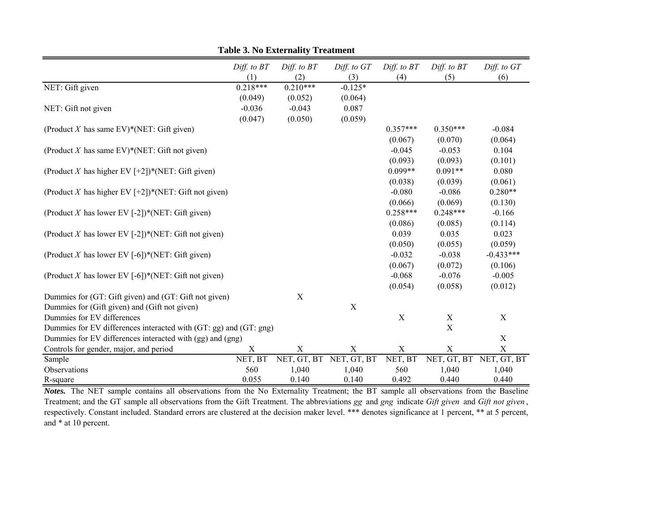|                                                                   | Diff. to BT<br>(1) | Diff. to BT<br>(2)        | Diff. to GT<br>(3) | Diff. to BT<br>(4) | Diff. to BT<br>(5) | Diff. to GT<br>(6)      |
|-------------------------------------------------------------------|--------------------|---------------------------|--------------------|--------------------|--------------------|-------------------------|
| NET: Gift given                                                   | $0.218***$         | $0.210***$                | $-0.125*$          |                    |                    |                         |
|                                                                   | (0.049)            | (0.052)                   | (0.064)            |                    |                    |                         |
| NET: Gift not given                                               | $-0.036$           | $-0.043$                  | 0.087              |                    |                    |                         |
|                                                                   | (0.047)            | (0.050)                   | (0.059)            |                    |                    |                         |
| (Product X has same EV)*(NET: Gift given)                         |                    |                           |                    | $0.357***$         | $0.350***$         | $-0.084$                |
|                                                                   |                    |                           |                    | (0.067)            | (0.070)            | (0.064)                 |
| (Product X has same EV)*(NET: Gift not given)                     |                    |                           |                    | $-0.045$           | $-0.053$           | 0.104                   |
|                                                                   |                    |                           |                    | (0.093)            | (0.093)            | (0.101)                 |
| (Product X has higher EV [+2])*(NET: Gift given)                  |                    |                           |                    | $0.099**$          | $0.091**$          | 0.080                   |
|                                                                   |                    |                           |                    | (0.038)            | (0.039)            | (0.061)                 |
| (Product X has higher EV [+2])*(NET: Gift not given)              |                    |                           |                    | $-0.080$           | $-0.086$           | $0.280**$               |
|                                                                   |                    |                           |                    | (0.066)            | (0.069)            | (0.130)                 |
| (Product X has lower EV [-2])*(NET: Gift given)                   |                    |                           |                    | $0.258***$         | $0.248***$         | $-0.166$                |
|                                                                   |                    |                           |                    | (0.086)            | (0.085)            | (0.114)                 |
| (Product X has lower EV [-2])*(NET: Gift not given)               |                    |                           |                    | 0.039              | 0.035              | 0.023                   |
|                                                                   |                    |                           |                    | (0.050)            | (0.055)            | (0.059)                 |
| (Product X has lower EV [-6])*(NET: Gift given)                   |                    |                           |                    | $-0.032$           | $-0.038$           | $-0.433***$             |
|                                                                   |                    |                           |                    | (0.067)            | (0.072)            | (0.106)                 |
| (Product X has lower EV [-6])*(NET: Gift not given)               |                    |                           |                    | $-0.068$           | $-0.076$           | $-0.005$                |
|                                                                   |                    |                           |                    | (0.054)            | (0.058)            | (0.012)                 |
| Dummies for (GT: Gift given) and (GT: Gift not given)             |                    | $\mathbf X$               |                    |                    |                    |                         |
| Dummies for (Gift given) and (Gift not given)                     |                    |                           | $\mathbf X$        |                    |                    |                         |
| Dummies for EV differences                                        |                    |                           |                    | $\mathbf X$        | $\mathbf X$        | X                       |
| Dummies for EV differences interacted with (GT: gg) and (GT: gng) |                    |                           |                    |                    | X                  |                         |
| Dummies for EV differences interacted with (gg) and (gng)         |                    |                           |                    |                    |                    | $\mathbf X$             |
| Controls for gender, major, and period                            | X                  | $\boldsymbol{\mathrm{X}}$ | $\mathbf X$        | $\mathbf X$        | X                  | $\mathbf X$             |
| Sample                                                            | NET, BT            | NET, GT, BT               | NET, GT, BT        | NET, BT            |                    | NET, GT, BT NET, GT, BT |
| Observations                                                      | 560                | 1,040                     | 1,040              | 560                | 1,040              | 1,040                   |
| R-square                                                          | 0.055              | 0.140                     | 0.140              | 0.492              | 0.440              | 0.440                   |

**Table 3. No Externality Treatment**

*Notes.* The NET sample contains all observations from the No Externality Treatment; the BT sample all observations from the Baseline Treatment; and the GT sample all observations from the Gift Treatment. The abbreviations *gg* and *gng* indicate *Gift given* and *Gift not given* , respectively. Constant included. Standard errors are clustered at the decision maker level. \*\*\* denotes significance at 1 percent, \*\* at 5 percent, and \* at 10 percent.